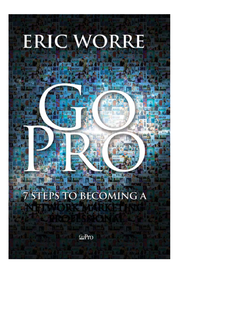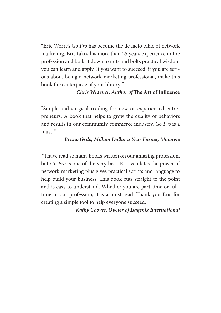"Eric Worre's Go Pro has become the de facto bible of network marketing. Eric takes his more than 25 years experience in the profession and boils it down to nuts and bolts practical wisdom you can learn and apply. If you want to succeed, if you are serious about being a network marketing professional, make this book the centerpiece of your library!"

## *Chris Widener, Author of* **The Art of Influence**

"Simple and surgical reading for new or experienced entrepreneurs. A book that helps to grow the quality of behaviors and results in our community commerce industry. Go Pro is a must!"

## *Bruno Grilo, Million Dollar a Year Earner, Monavie*

 "I have read so many books written on our amazing profession, but Go Pro is one of the very best. Eric validates the power of network marketing plus gives practical scripts and language to help build your business. This book cuts straight to the point and is easy to understand. Whether you are part-time or fulltime in our profession, it is a must-read. Thank you Eric for creating a simple tool to help everyone succeed."

## *Kathy Coover, Owner of Isagenix International*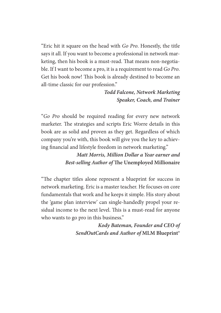"Eric hit it square on the head with Go Pro. Honestly, the title says it all. If you want to become a professional in network marketing, then his book is a must-read. That means non-negotiable. If I want to become a pro, it is a requirement to read Go Pro. Get his book now! This book is already destined to become an all-time classic for our profession."

> *Todd Falcone, Network Marketing Speaker, Coach, and Trainer*

"Go Pro should be required reading for every new network marketer. The strategies and scripts Eric Worre details in this book are as solid and proven as they get. Regardless of which company you're with, this book will give you the key to achieving financial and lifestyle freedom in network marketing."

> *Matt Morris, Million Dollar a Year earner and Best-selling Author of* **The Unemployed Millionaire**

"The chapter titles alone represent a blueprint for success in network marketing. Eric is a master teacher. He focuses on core fundamentals that work and he keeps it simple. His story about the 'game plan interview' can single-handedly propel your residual income to the next level. This is a must-read for anyone who wants to go pro in this business."

> *Kody Bateman, Founder and CEO of SendOutCards and Author of* **MLM Blueprint®**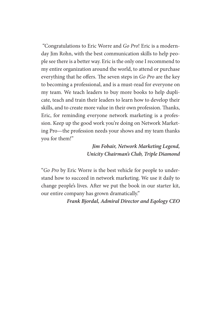"Congratulations to Eric Worre and Go Pro! Eric is a modernday Jim Rohn, with the best communication skills to help people see there is a better way. Eric is the only one I recommend to my entire organization around the world, to attend or purchase everything that he offers. The seven steps in Go Pro are the key to becoming a professional, and is a must-read for everyone on my team. We teach leaders to buy more books to help duplicate, teach and train their leaders to learn how to develop their skills, and to create more value in their own profession. Thanks, Eric, for reminding everyone network marketing is a profession. Keep up the good work you're doing on Network Marketing Pro—the profession needs your shows and my team thanks you for them!"

## *Jim Fobair, Network Marketing Legend, Unicity Chairman's Club, Triple Diamond*

"Go Pro by Eric Worre is the best vehicle for people to understand how to succeed in network marketing. We use it daily to change people's lives. After we put the book in our starter kit, our entire company has grown dramatically."

*Frank Bjordal, Admiral Director and Eqology CEO*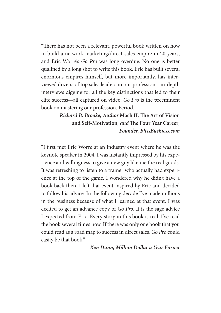"There has not been a relevant, powerful book written on how to build a network marketing/direct-sales empire in 20 years, and Eric Worre's Go Pro was long overdue. No one is better qualified by a long shot to write this book. Eric has built several enormous empires himself, but more importantly, has interviewed dozens of top sales leaders in our profession—in-depth interviews digging for all the key distinctions that led to their elite success—all captured on video. Go Pro is the preeminent book on mastering our profession. Period."

> *Richard B. Brooke, Author* **Mach II***,* **The Art of Vision and Self-Motivation***, and* **The Four Year Career***, Founder, BlissBusiness.com*

"I first met Eric Worre at an industry event where he was the keynote speaker in 2004. I was instantly impressed by his experience and willingness to give a new guy like me the real goods. It was refreshing to listen to a trainer who actually had experience at the top of the game. I wondered why he didn't have a book back then. I left that event inspired by Eric and decided to follow his advice. In the following decade I've made millions in the business because of what I learned at that event. I was excited to get an advance copy of Go Pro. It is the sage advice I expected from Eric. Every story in this book is real. I've read the book several times now. If there was only one book that you could read as a road map to success in direct sales, Go Pro could easily be that book."

#### *Ken Dunn, Million Dollar a Year Earner*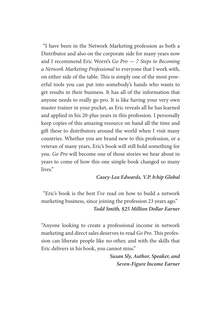"I have been in the Network Marketing profession as both a Distributor and also on the corporate side for many years now and I recommend Eric Worre's Go Pro — 7 Steps to Becoming a Network Marketing Professional to everyone that I work with, on either side of the table. This is simply one of the most powerful tools you can put into somebody's hands who wants to get results in their business. It has all of the information that anyone needs to really go pro. It is like having your very own master trainer in your pocket, as Eric reveals all he has learned and applied in his 20-plus years in this profession. I personally keep copies of this amazing resource on hand all the time and gift these to distributors around the world when I visit many countries. Whether you are brand new to this profession, or a veteran of many years, Eric's book will still hold something for you. Go Pro will become one of those stories we hear about in years to come of how this one simple book changed so many lives"

#### *Casey-Lea Edwards, V.P. b:hip Global*

 "Eric's book is the best I've read on how to build a network marketing business, since joining the profession 23 years ago." *Todd Smith, \$25 Million Dollar Earner*

"Anyone looking to create a professional income in network marketing and direct sales deserves to read Go Pro. This profession can liberate people like no other, and with the skills that Eric delivers in his book, you cannot miss."

> *Susan Sly, Author, Speaker, and Seven-Figure Income Earner*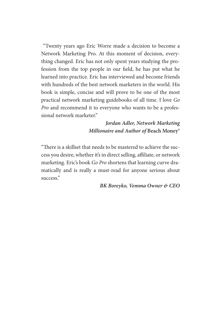"Twenty years ago Eric Worre made a decision to become a Network Marketing Pro. At this moment of decision, everything changed. Eric has not only spent years studying the profession from the top people in our field, he has put what he learned into practice. Eric has interviewed and become friends with hundreds of the best network marketers in the world. His book is simple, concise and will prove to be one of the most practical network marketing guidebooks of all time. I love Go Pro and recommend it to everyone who wants to be a professional network marketer."

> *Jordan Adler, Network Marketing Millionaire and Author of* **Beach Money®**

"There is a skillset that needs to be mastered to achieve the success you desire, whether it's in direct selling, affiliate, or network marketing. Eric's book Go Pro shortens that learning curve dramatically and is really a must-read for anyone serious about success."

### *BK Boreyko, Vemma Owner & CEO*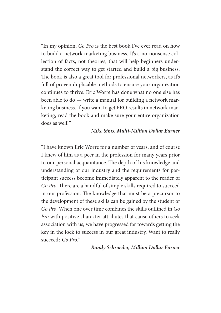"In my opinion, Go Pro is the best book I've ever read on how to build a network marketing business. It's a no-nonsense collection of facts, not theories, that will help beginners understand the correct way to get started and build a big business. The book is also a great tool for professional networkers, as it's full of proven duplicable methods to ensure your organization continues to thrive. Eric Worre has done what no one else has been able to do — write a manual for building a network marketing business. If you want to get PRO results in network marketing, read the book and make sure your entire organization does as well!"

#### *Mike Sims, Multi-Million Dollar Earner*

"I have known Eric Worre for a number of years, and of course I knew of him as a peer in the profession for many years prior to our personal acquaintance. The depth of his knowledge and understanding of our industry and the requirements for participant success become immediately apparent to the reader of Go Pro. There are a handful of simple skills required to succeed in our profession. The knowledge that must be a precursor to the development of these skills can be gained by the student of Go Pro. When one over time combines the skills outlined in Go Pro with positive character attributes that cause others to seek association with us, we have progressed far towards getting the key in the lock to success in our great industry. Want to really succeed? Go Pro."

#### *Randy Schroeder, Million Dollar Earner*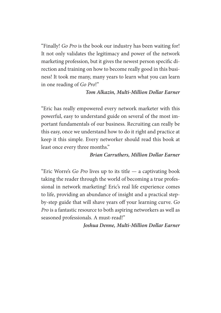"Finally! Go Pro is the book our industry has been waiting for! It not only validates the legitimacy and power of the network marketing profession, but it gives the newest person specific direction and training on how to become really good in this business! It took me many, many years to learn what you can learn in one reading of Go Pro!"

## *Tom Alkazin, Multi-Million Dollar Earner*

"Eric has really empowered every network marketer with this powerful, easy to understand guide on several of the most important fundamentals of our business. Recruiting can really be this easy, once we understand how to do it right and practice at keep it this simple. Every networker should read this book at least once every three months."

## *Brian Carruthers, Million Dollar Earner*

"Eric Worre's Go Pro lives up to its title  $-$  a captivating book taking the reader through the world of becoming a true professional in network marketing! Eric's real life experience comes to life, providing an abundance of insight and a practical stepby-step guide that will shave years off your learning curve. Go Pro is a fantastic resource to both aspiring networkers as well as seasoned professionals. A must-read!"

*Joshua Denne, Multi-Million Dollar Earner*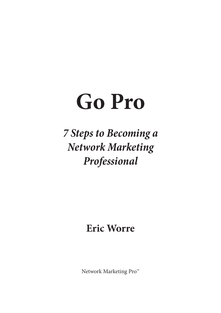# **Go Pro**

## *7 Steps to Becoming a Network Marketing Professional*

## **Eric Worre**

Network Marketing Pro™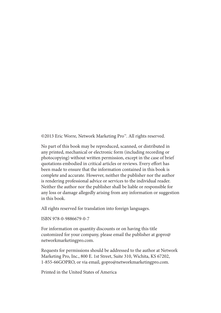©2013 Eric Worre, Network Marketing Pro™. All rights reserved.

No part of this book may be reproduced, scanned, or distributed in any printed, mechanical or electronic form (including recording or photocopying) without written permission, except in the case of brief quotations embodied in critical articles or reviews. Every effort has been made to ensure that the information contained in this book is complete and accurate. However, neither the publisher nor the author is rendering professional advice or services to the individual reader. Neither the author nor the publisher shall be liable or responsible for any loss or damage allegedly arising from any information or suggestion in this book.

All rights reserved for translation into foreign languages.

ISBN 978-0-9886679-0-7

For information on quantity discounts or on having this title customized for your company, please email the publisher at gopro@ networkmarketingpro.com.

Requests for permissions should be addressed to the author at Network Marketing Pro, Inc., 800 E. 1st Street, Suite 310, Wichita, KS 67202, 1-855-66GOPRO, or via email, gopro@networkmarketingpro.com.

Printed in the United States of America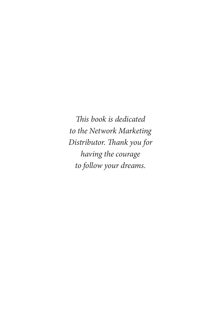This book is dedicated to the Network Marketing Distributor. Thank you for having the courage to follow your dreams.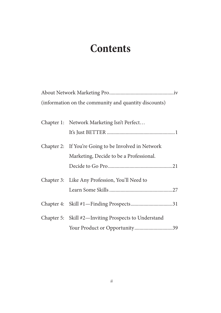## **Contents**

| (information on the community and quantity discounts) |                                                      |  |  |  |
|-------------------------------------------------------|------------------------------------------------------|--|--|--|
|                                                       |                                                      |  |  |  |
|                                                       | Chapter 1: Network Marketing Isn't Perfect           |  |  |  |
|                                                       |                                                      |  |  |  |
|                                                       | Chapter 2: If You're Going to be Involved in Network |  |  |  |
|                                                       |                                                      |  |  |  |
|                                                       | Marketing, Decide to be a Professional.              |  |  |  |
|                                                       |                                                      |  |  |  |
|                                                       | Chapter 3: Like Any Profession, You'll Need to       |  |  |  |
|                                                       |                                                      |  |  |  |
|                                                       |                                                      |  |  |  |
|                                                       |                                                      |  |  |  |
|                                                       | Chapter 5: Skill #2—Inviting Prospects to Understand |  |  |  |
|                                                       | Your Product or Opportunity39                        |  |  |  |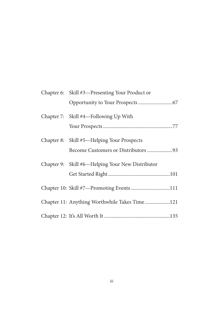| Chapter 6: Skill #3—Presenting Your Product or   |  |  |
|--------------------------------------------------|--|--|
|                                                  |  |  |
| Chapter 7: Skill #4-Following Up With            |  |  |
|                                                  |  |  |
| Chapter 8: Skill #5—Helping Your Prospects       |  |  |
| Become Customers or Distributors 93              |  |  |
| Chapter 9: Skill #6—Helping Your New Distributor |  |  |
|                                                  |  |  |
| Chapter 10: Skill #7-Promoting Events111         |  |  |
| Chapter 11: Anything Worthwhile Takes Time121    |  |  |
|                                                  |  |  |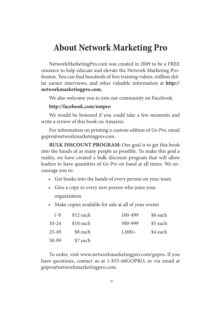## **About Network Marketing Pro**

NetworkMarketingPro.com was created in 2009 to be a FREE resource to help educate and elevate the Network Marketing Profession. You can find hundreds of free training videos, million dollar earner interviews, and other valuable information at **http:// networkmarketingpro.com.**

We also welcome you to join our community on Facebook:

#### **http://facebook.com/nmpro**

We would be honored if you could take a few moments and write a review of this book on Amazon.

For information on printing a custom edition of Go Pro, email gopro@networkmarketingpro.com.

**BULK DISCOUNT PROGRAM:** Our goal is to get this book into the hands of as many people as possible. To make this goal a reality, we have created a bulk discount program that will allow leaders to have quantities of Go Pro on hand at all times. We encourage you to:

- Get books into the hands of every person on your team
- Give a copy to every new person who joins your organization
- Make copies available for sale at all of your events

| $1 - 9$ | \$12 each | 100-499  | \$6 each |
|---------|-----------|----------|----------|
| $10-24$ | \$10 each | 500-999  | \$5 each |
| 25-49   | \$8 each  | $1,000+$ | \$4 each |
| 50-99   | \$7 each  |          |          |

To order, visit www.networkmarketingpro.com/gopro. If you have questions, contact us at 1-855-66GOPRO, or via email at gopro@networkmarketingpro.com.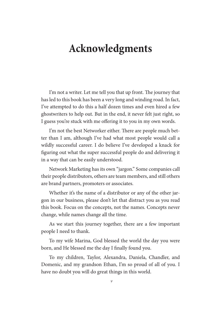## **Acknowledgments**

I'm not a writer. Let me tell you that up front. The journey that has led to this book has been a very long and winding road. In fact, I've attempted to do this a half dozen times and even hired a few ghostwriters to help out. But in the end, it never felt just right, so I guess you're stuck with me offering it to you in my own words.

I'm not the best Networker either. There are people much better than I am, although I've had what most people would call a wildly successful career. I do believe I've developed a knack for figuring out what the super successful people do and delivering it in a way that can be easily understood.

Network Marketing has its own "jargon." Some companies call their people distributors, others are team members, and still others are brand partners, promoters or associates.

Whether it's the name of a distributor or any of the other jargon in our business, please don't let that distract you as you read this book. Focus on the concepts, not the names. Concepts never change, while names change all the time.

As we start this journey together, there are a few important people I need to thank.

To my wife Marina, God blessed the world the day you were born, and He blessed me the day I finally found you.

To my children, Taylor, Alexandra, Daniela, Chandler, and Domenic, and my grandson Ethan, I'm so proud of all of you. I have no doubt you will do great things in this world.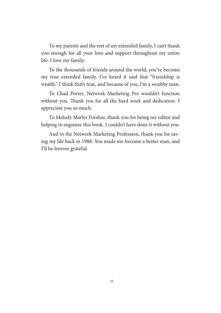To my parents and the rest of my extended family, I can't thank you enough for all your love and support throughout my entire life. I love my family.

To the thousands of friends around the world, you've become my true extended family. I've heard it said that "friendship is wealth." I think that's true, and because of you, I'm a wealthy man.

To Chad Porter, Network Marketing Pro wouldn't function without you. Thank you for all the hard work and dedication. I appreciate you so much.

To Melody Marler Forshee, thank you for being my editor and helping to organize this book. I couldn't have done it without you.

And to the Network Marketing Profession, thank you for saving my life back in 1988. You made me become a better man, and I'll be forever grateful.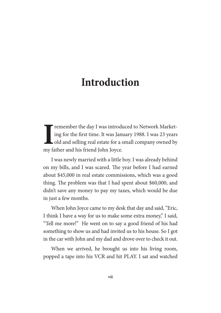## **Introduction**

**I I**remember the day I was introduced to Network Marketing for the first time. It was January 1988. I was 23 years old and selling real estate for a small company owned by my father and his friend John Jove. ing for the first time. It was January 1988. I was 23 years old and selling real estate for a small company owned by my father and his friend John Joyce.

I was newly married with a little boy. I was already behind on my bills, and I was scared. The year before I had earned about \$45,000 in real estate commissions, which was a good thing. The problem was that I had spent about \$60,000, and didn't save any money to pay my taxes, which would be due in just a few months.

When John Joyce came to my desk that day and said, "Eric, I think I have a way for us to make some extra money," I said, "Tell me more!" He went on to say a good friend of his had something to show us and had invited us to his house. So I got in the car with John and my dad and drove over to check it out.

When we arrived, he brought us into his living room, popped a tape into his VCR and hit PLAY. I sat and watched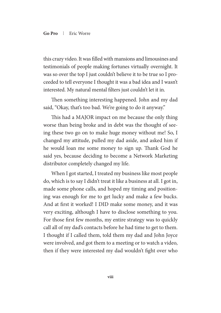this crazy video. It was filled with mansions and limousines and testimonials of people making fortunes virtually overnight. It was so over the top I just couldn't believe it to be true so I proceeded to tell everyone I thought it was a bad idea and I wasn't interested. My natural mental filters just couldn't let it in.

Then something interesting happened. John and my dad said, "Okay, that's too bad. We're going to do it anyway."

This had a MAJOR impact on me because the only thing worse than being broke and in debt was the thought of seeing these two go on to make huge money without me! So, I changed my attitude, pulled my dad aside, and asked him if he would loan me some money to sign up. Thank God he said yes, because deciding to become a Network Marketing distributor completely changed my life.

When I got started, I treated my business like most people do, which is to say I didn't treat it like a business at all. I got in, made some phone calls, and hoped my timing and positioning was enough for me to get lucky and make a few bucks. And at first it worked! I DID make some money, and it was very exciting, although I have to disclose something to you. For those first few months, my entire strategy was to quickly call all of my dad's contacts before he had time to get to them. I thought if I called them, told them my dad and John Joyce were involved, and got them to a meeting or to watch a video, then if they were interested my dad wouldn't fight over who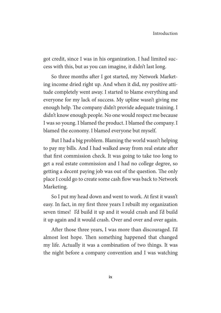got credit, since I was in his organization. I had limited success with this, but as you can imagine, it didn't last long.

So three months after I got started, my Network Marketing income dried right up. And when it did, my positive attitude completely went away. I started to blame everything and everyone for my lack of success. My upline wasn't giving me enough help. The company didn't provide adequate training. I didn't know enough people. No one would respect me because I was so young. I blamed the product. I blamed the company. I blamed the economy. I blamed everyone but myself.

But I had a big problem. Blaming the world wasn't helping to pay my bills. And I had walked away from real estate after that first commission check. It was going to take too long to get a real estate commission and I had no college degree, so getting a decent paying job was out of the question. The only place I could go to create some cash flow was back to Network Marketing.

So I put my head down and went to work. At first it wasn't easy. In fact, in my first three years I rebuilt my organization seven times! I'd build it up and it would crash and I'd build it up again and it would crash. Over and over and over again.

After those three years, I was more than discouraged. I'd almost lost hope. Then something happened that changed my life. Actually it was a combination of two things. It was the night before a company convention and I was watching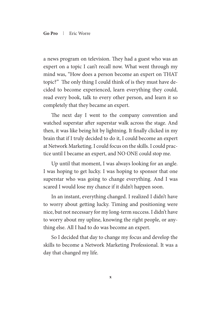a news program on television. They had a guest who was an expert on a topic I can't recall now. What went through my mind was, "How does a person become an expert on THAT topic?" The only thing I could think of is they must have decided to become experienced, learn everything they could, read every book, talk to every other person, and learn it so completely that they became an expert.

The next day I went to the company convention and watched superstar after superstar walk across the stage. And then, it was like being hit by lightning. It finally clicked in my brain that if I truly decided to do it, I could become an expert at Network Marketing. I could focus on the skills. I could practice until I became an expert, and NO ONE could stop me.

Up until that moment, I was always looking for an angle. I was hoping to get lucky. I was hoping to sponsor that one superstar who was going to change everything. And I was scared I would lose my chance if it didn't happen soon.

In an instant, everything changed. I realized I didn't have to worry about getting lucky. Timing and positioning were nice, but not necessary for my long-term success. I didn't have to worry about my upline, knowing the right people, or anything else. All I had to do was become an expert.

So I decided that day to change my focus and develop the skills to become a Network Marketing Professional. It was a day that changed my life.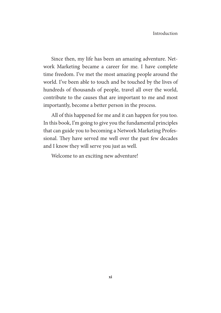Since then, my life has been an amazing adventure. Network Marketing became a career for me. I have complete time freedom. I've met the most amazing people around the world. I've been able to touch and be touched by the lives of hundreds of thousands of people, travel all over the world, contribute to the causes that are important to me and most importantly, become a better person in the process.

All of this happened for me and it can happen for you too. In this book, I'm going to give you the fundamental principles that can guide you to becoming a Network Marketing Professional. They have served me well over the past few decades and I know they will serve you just as well.

Welcome to an exciting new adventure!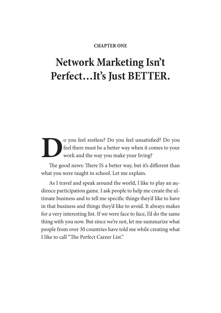#### **CHAPTER ONE**

## **Network Marketing Isn't Perfect…It's Just BETTER.**

**D**o you feel restless? Do you feel unsatisfied? Do you feel there must be a better way when it comes to your work and the way you make your living? feel there must be a better way when it comes to your work and the way you make your living?

The good news: There IS a better way, but it's different than what you were taught in school. Let me explain.

As I travel and speak around the world, I like to play an audience participation game. I ask people to help me create the ultimate business and to tell me specific things they'd like to have in that business and things they'd like to avoid. It always makes for a very interesting list. If we were face to face, I'd do the same thing with you now. But since we're not, let me summarize what people from over 30 countries have told me while creating what I like to call "The Perfect Career List."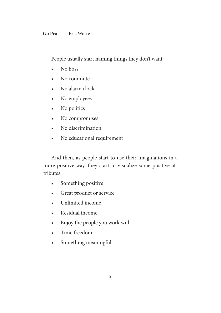People usually start naming things they don't want:

- No boss
- No commute
- No alarm clock
- No employees
- No politics
- No compromises
- No discrimination
- No educational requirement

And then, as people start to use their imaginations in a more positive way, they start to visualize some positive attributes:

- Something positive
- Great product or service
- Unlimited income
- Residual income
- Enjoy the people you work with
- Time freedom
- Something meaningful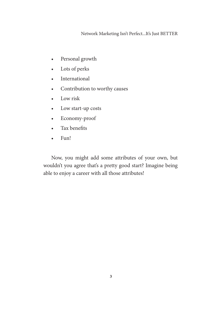Network Marketing Isn't Perfect...It's Just BETTER

- Personal growth
- Lots of perks
- International
- Contribution to worthy causes
- Low risk
- Low start-up costs
- Economy-proof
- Tax benefits
- Fun!

Now, you might add some attributes of your own, but wouldn't you agree that's a pretty good start? Imagine being able to enjoy a career with all those attributes!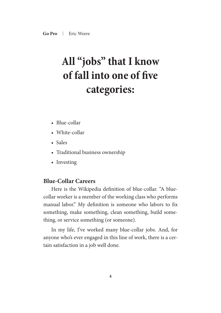## **All "jobs" that I know of fall into one of five categories:**

- Blue-collar
- White-collar
- Sales
- Traditional business ownership
- Investing

## **Blue-Collar Careers**

Here is the Wikipedia definition of blue-collar. "A bluecollar worker is a member of the working class who performs manual labor." My definition is someone who labors to fix something, make something, clean something, build something, or service something (or someone).

In my life, I've worked many blue-collar jobs. And, for anyone who's ever engaged in this line of work, there is a certain satisfaction in a job well done.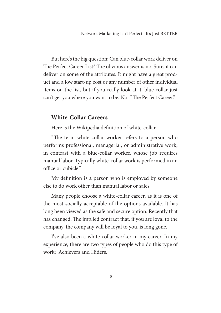Network Marketing Isn't Perfect...It's Just BETTER

But here's the big question: Can blue-collar work deliver on The Perfect Career List? The obvious answer is no. Sure, it can deliver on some of the attributes. It might have a great product and a low start-up cost or any number of other individual items on the list, but if you really look at it, blue-collar just can't get you where you want to be. Not "The Perfect Career."

## **White-Collar Careers**

Here is the Wikipedia definition of white-collar.

"The term white-collar worker refers to a person who performs professional, managerial, or administrative work, in contrast with a blue-collar worker, whose job requires manual labor. Typically white-collar work is performed in an office or cubicle."

My definition is a person who is employed by someone else to do work other than manual labor or sales.

Many people choose a white-collar career, as it is one of the most socially acceptable of the options available. It has long been viewed as the safe and secure option. Recently that has changed. The implied contract that, if you are loyal to the company, the company will be loyal to you, is long gone.

I've also been a white-collar worker in my career. In my experience, there are two types of people who do this type of work: Achievers and Hiders.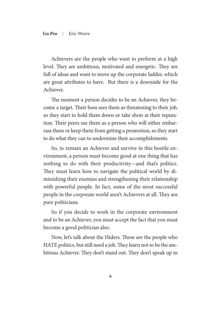Achievers are the people who want to perform at a high level. They are ambitious, motivated and energetic. They are full of ideas and want to move up the corporate ladder, which are great attributes to have. But there is a downside for the Achiever.

The moment a person decides to be an Achiever, they become a target. Their boss sees them as threatening to their job, so they start to hold them down or take shots at their reputation. Their peers see them as a person who will either embarrass them or keep them from getting a promotion, so they start to do what they can to undermine their accomplishments.

So, to remain an Achiever and survive in this hostile environment, a person must become good at one thing that has nothing to do with their productivity—and that's politics. They must learn how to navigate the political world by diminishing their enemies and strengthening their relationship with powerful people. In fact, some of the most successful people in the corporate world aren't Achievers at all. They are pure politicians.

So if you decide to work in the corporate environment and to be an Achiever, you must accept the fact that you must become a good politician also.

Now, let's talk about the Hiders. These are the people who HATE politics, but still need a job. They learn not to be the ambitious Achiever. They don't stand out. They don't speak up in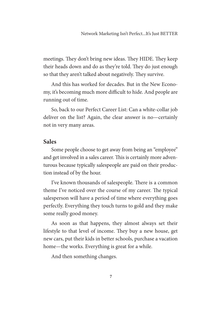meetings. They don't bring new ideas. They HIDE. They keep their heads down and do as they're told. They do just enough so that they aren't talked about negatively. They survive.

And this has worked for decades. But in the New Economy, it's becoming much more difficult to hide. And people are running out of time.

So, back to our Perfect Career List: Can a white-collar job deliver on the list? Again, the clear answer is no—certainly not in very many areas.

## **Sales**

Some people choose to get away from being an "employee" and get involved in a sales career. This is certainly more adventurous because typically salespeople are paid on their production instead of by the hour.

I've known thousands of salespeople. There is a common theme I've noticed over the course of my career. The typical salesperson will have a period of time where everything goes perfectly. Everything they touch turns to gold and they make some really good money.

As soon as that happens, they almost always set their lifestyle to that level of income. They buy a new house, get new cars, put their kids in better schools, purchase a vacation home—the works. Everything is great for a while.

And then something changes.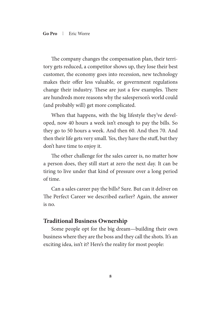The company changes the compensation plan, their territory gets reduced, a competitor shows up, they lose their best customer, the economy goes into recession, new technology makes their offer less valuable, or government regulations change their industry. These are just a few examples. There are hundreds more reasons why the salesperson's world could (and probably will) get more complicated.

When that happens, with the big lifestyle they've developed, now 40 hours a week isn't enough to pay the bills. So they go to 50 hours a week. And then 60. And then 70. And then their life gets very small. Yes, they have the stuff, but they don't have time to enjoy it.

The other challenge for the sales career is, no matter how a person does, they still start at zero the next day. It can be tiring to live under that kind of pressure over a long period of time.

Can a sales career pay the bills? Sure. But can it deliver on The Perfect Career we described earlier? Again, the answer is no.

## **Traditional Business Ownership**

Some people opt for the big dream—building their own business where they are the boss and they call the shots. It's an exciting idea, isn't it? Here's the reality for most people: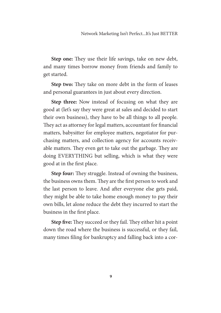**Step one:** They use their life savings, take on new debt, and many times borrow money from friends and family to get started.

**Step two:** They take on more debt in the form of leases and personal guarantees in just about every direction.

**Step three:** Now instead of focusing on what they are good at (let's say they were great at sales and decided to start their own business), they have to be all things to all people. They act as attorney for legal matters, accountant for financial matters, babysitter for employee matters, negotiator for purchasing matters, and collection agency for accounts receivable matters. They even get to take out the garbage. They are doing EVERYTHING but selling, which is what they were good at in the first place.

**Step four:** They struggle. Instead of owning the business, the business owns them. They are the first person to work and the last person to leave. And after everyone else gets paid, they might be able to take home enough money to pay their own bills, let alone reduce the debt they incurred to start the business in the first place.

**Step five:** They succeed or they fail. They either hit a point down the road where the business is successful, or they fail, many times filing for bankruptcy and falling back into a cor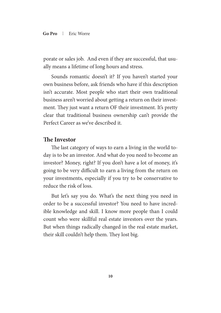porate or sales job. And even if they are successful, that usually means a lifetime of long hours and stress.

Sounds romantic doesn't it? If you haven't started your own business before, ask friends who have if this description isn't accurate. Most people who start their own traditional business aren't worried about getting a return on their investment. They just want a return OF their investment. It's pretty clear that traditional business ownership can't provide the Perfect Career as we've described it.

## **The Investor**

The last category of ways to earn a living in the world today is to be an investor. And what do you need to become an investor? Money, right? If you don't have a lot of money, it's going to be very difficult to earn a living from the return on your investments, especially if you try to be conservative to reduce the risk of loss.

But let's say you do. What's the next thing you need in order to be a successful investor? You need to have incredible knowledge and skill. I know more people than I could count who were skillful real estate investors over the years. But when things radically changed in the real estate market, their skill couldn't help them. They lost big.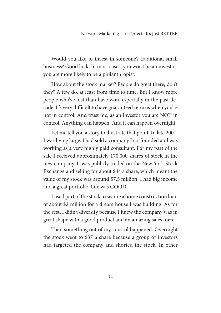Would you like to invest in someone's traditional small business? Good luck. In most cases, you won't be an investor; you are more likely to be a philanthropist.

How about the stock market? People do great there, don't they? A few do, at least from time to time. But I know more people who've lost than have won, especially in the past decade. It's very difficult to have guaranteed returns when you're not in control. And trust me, as an investor you are NOT in control. Anything can happen. And it can happen overnight.

Let me tell you a story to illustrate that point. In late 2001, I was living large. I had sold a company I co-founded and was working as a very highly paid consultant. For my part of the sale I received approximately 170,000 shares of stock in the new company. It was publicly traded on the New York Stock Exchange and selling for about \$44 a share, which meant the value of my stock was around \$7.5 million. I had big income and a great portfolio. Life was GOOD.

I used part of the stock to secure a home construction loan of about \$2 million for a dream house I was building. As for the rest, I didn't diversify because I knew the company was in great shape with a good product and an amazing sales force.

Then something out of my control happened. Overnight the stock went to \$37 a share because a group of investors had targeted the company and shorted the stock. In other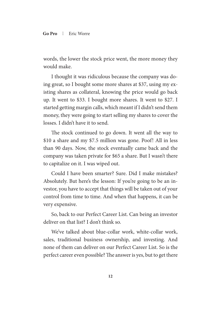words, the lower the stock price went, the more money they would make.

I thought it was ridiculous because the company was doing great, so I bought some more shares at \$37, using my existing shares as collateral, knowing the price would go back up. It went to \$33. I bought more shares. It went to \$27. I started getting margin calls, which meant if I didn't send them money, they were going to start selling my shares to cover the losses. I didn't have it to send.

The stock continued to go down. It went all the way to \$10 a share and my \$7.5 million was gone. Poof! All in less than 90 days. Now, the stock eventually came back and the company was taken private for \$65 a share. But I wasn't there to capitalize on it. I was wiped out.

Could I have been smarter? Sure. Did I make mistakes? Absolutely. But here's the lesson: If you're going to be an investor, you have to accept that things will be taken out of your control from time to time. And when that happens, it can be very expensive.

So, back to our Perfect Career List. Can being an investor deliver on that list? I don't think so.

We've talked about blue-collar work, white-collar work, sales, traditional business ownership, and investing. And none of them can deliver on our Perfect Career List. So is the perfect career even possible? The answer is yes, but to get there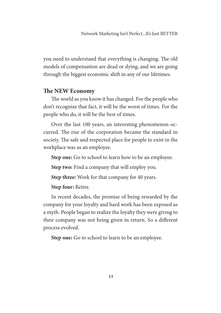you need to understand that everything is changing. The old models of compensation are dead or dying, and we are going through the biggest economic shift in any of our lifetimes.

## **The NEW Economy**

The world as you know it has changed. For the people who don't recognize that fact, it will be the worst of times. For the people who do, it will be the best of times.

Over the last 100 years, an interesting phenomenon occurred. The rise of the corporation became the standard in society. The safe and respected place for people to exist in the workplace was as an employee.

**Step one:** Go to school to learn how to be an employee.

**Step two:** Find a company that will employ you.

**Step three:** Work for that company for 40 years.

### **Step four:** Retire.

In recent decades, the promise of being rewarded by the company for your loyalty and hard work has been exposed as a myth. People began to realize the loyalty they were giving to their company was not being given in return. So a different process evolved.

**Step one:** Go to school to learn to be an employee.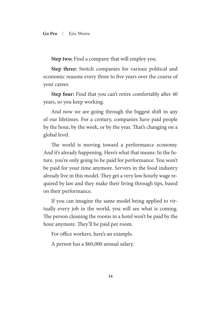**Step two:** Find a company that will employ you.

**Step three:** Switch companies for various political and economic reasons every three to five years over the course of your career.

**Step four:** Find that you can't retire comfortably after 40 years, so you keep working.

And now we are going through the biggest shift in any of our lifetimes. For a century, companies have paid people by the hour, by the week, or by the year. That's changing on a global level.

The world is moving toward a performance economy. And it's already happening. Here's what that means: In the future, you're only going to be paid for performance. You won't be paid for your time anymore. Servers in the food industry already live in this model. They get a very low hourly wage required by law and they make their living through tips, based on their performance.

If you can imagine the same model being applied to virtually every job in the world, you will see what is coming. The person cleaning the rooms in a hotel won't be paid by the hour anymore. They'll be paid per room.

For office workers, here's an example.

A person has a \$60,000 annual salary.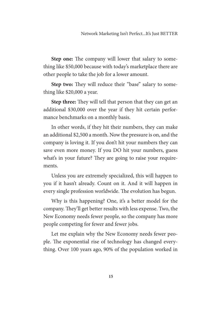**Step one:** The company will lower that salary to something like \$50,000 because with today's marketplace there are other people to take the job for a lower amount.

**Step two:** They will reduce their "base" salary to something like \$20,000 a year.

**Step three:** They will tell that person that they can get an additional \$30,000 over the year if they hit certain performance benchmarks on a monthly basis.

In other words, if they hit their numbers, they can make an additional \$2,500 a month. Now the pressure is on, and the company is loving it. If you don't hit your numbers they can save even more money. If you DO hit your numbers, guess what's in your future? They are going to raise your requirements.

Unless you are extremely specialized, this will happen to you if it hasn't already. Count on it. And it will happen in every single profession worldwide. The evolution has begun.

Why is this happening? One, it's a better model for the company. They'll get better results with less expense. Two, the New Economy needs fewer people, so the company has more people competing for fewer and fewer jobs.

Let me explain why the New Economy needs fewer people. The exponential rise of technology has changed everything. Over 100 years ago, 90% of the population worked in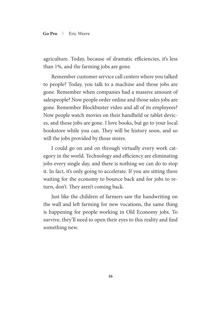agriculture. Today, because of dramatic efficiencies, it's less than 1%, and the farming jobs are gone.

Remember customer service call centers where you talked to people? Today, you talk to a machine and those jobs are gone. Remember when companies had a massive amount of salespeople? Now people order online and those sales jobs are gone. Remember Blockbuster video and all of its employees? Now people watch movies on their handheld or tablet devices, and those jobs are gone. I love books, but go to your local bookstore while you can. They will be history soon, and so will the jobs provided by those stores.

I could go on and on through virtually every work category in the world. Technology and efficiency are eliminating jobs every single day, and there is nothing we can do to stop it. In fact, it's only going to accelerate. If you are sitting there waiting for the economy to bounce back and for jobs to return, don't. They aren't coming back.

Just like the children of farmers saw the handwriting on the wall and left farming for new vocations, the same thing is happening for people working in Old Economy jobs. To survive, they'll need to open their eyes to this reality and find something new.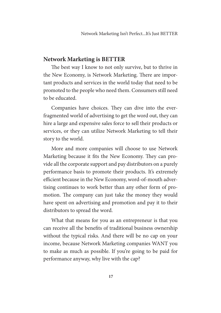# **Network Marketing is BETTER**

The best way I know to not only survive, but to thrive in the New Economy, is Network Marketing. There are important products and services in the world today that need to be promoted to the people who need them. Consumers still need to be educated.

Companies have choices. They can dive into the everfragmented world of advertising to get the word out, they can hire a large and expensive sales force to sell their products or services, or they can utilize Network Marketing to tell their story to the world.

More and more companies will choose to use Network Marketing because it fits the New Economy. They can provide all the corporate support and pay distributors on a purely performance basis to promote their products. It's extremely efficient because in the New Economy, word-of-mouth advertising continues to work better than any other form of promotion. The company can just take the money they would have spent on advertising and promotion and pay it to their distributors to spread the word.

What that means for you as an entrepreneur is that you can receive all the benefits of traditional business ownership without the typical risks. And there will be no cap on your income, because Network Marketing companies WANT you to make as much as possible. If you're going to be paid for performance anyway, why live with the cap?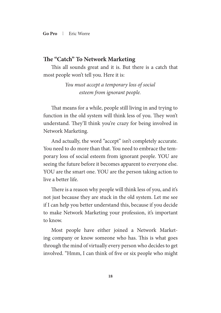**Go Pro** l Eric Worre

## **The "Catch" To Network Marketing**

This all sounds great and it is. But there is a catch that most people won't tell you. Here it is:

> You must accept a temporary loss of social esteem from ignorant people.

That means for a while, people still living in and trying to function in the old system will think less of you. They won't understand. They'll think you're crazy for being involved in Network Marketing.

And actually, the word "accept" isn't completely accurate. You need to do more than that. You need to embrace the temporary loss of social esteem from ignorant people. YOU are seeing the future before it becomes apparent to everyone else. YOU are the smart one. YOU are the person taking action to live a better life.

There is a reason why people will think less of you, and it's not just because they are stuck in the old system. Let me see if I can help you better understand this, because if you decide to make Network Marketing your profession, it's important to know.

Most people have either joined a Network Marketing company or know someone who has. This is what goes through the mind of virtually every person who decides to get involved. "Hmm, I can think of five or six people who might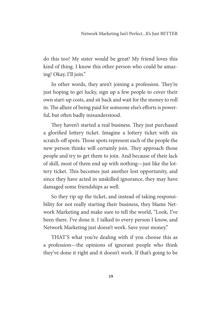do this too! My sister would be great! My friend loves this kind of thing. I know this other person who could be amazing! Okay, I'll join."

In other words, they aren't joining a profession. They're just hoping to get lucky, sign up a few people to cover their own start-up costs, and sit back and wait for the money to roll in. The allure of being paid for someone else's efforts is powerful, but often badly misunderstood.

They haven't started a real business. They just purchased a glorified lottery ticket. Imagine a lottery ticket with six scratch-off spots. Those spots represent each of the people the new person thinks will certainly join. They approach those people and try to get them to join. And because of their lack of skill, most of them end up with nothing—just like the lottery ticket. This becomes just another lost opportunity, and since they have acted in unskilled ignorance, they may have damaged some friendships as well.

So they rip up the ticket, and instead of taking responsibility for not really starting their business, they blame Network Marketing and make sure to tell the world, "Look, I've been there. I've done it. I talked to every person I know, and Network Marketing just doesn't work. Save your money."

THAT'S what you're dealing with if you choose this as a profession—the opinions of ignorant people who think they've done it right and it doesn't work. If that's going to be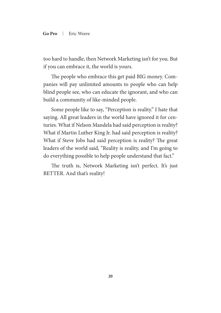too hard to handle, then Network Marketing isn't for you. But if you can embrace it, the world is yours.

The people who embrace this get paid BIG money. Companies will pay unlimited amounts to people who can help blind people see, who can educate the ignorant, and who can build a community of like-minded people.

Some people like to say, "Perception is reality." I hate that saying. All great leaders in the world have ignored it for centuries. What if Nelson Mandela had said perception is reality? What if Martin Luther King Jr. had said perception is reality? What if Steve Jobs had said perception is reality? The great leaders of the world said, "Reality is reality, and I'm going to do everything possible to help people understand that fact."

The truth is, Network Marketing isn't perfect. It's just BETTER. And that's reality!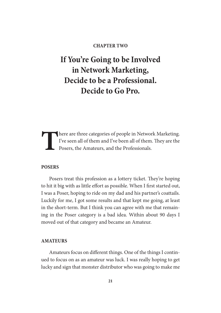### **CHAPTER TWO**

# **If You're Going to be Involved in Network Marketing, Decide to be a Professional. Decide to Go Pro.**

There are three categories of people in Network Marketing.<br>I've seen all of them and I've been all of them. They are the<br>Posers, the Amateurs, and the Professionals. I've seen all of them and I've been all of them. They are the Posers, the Amateurs, and the Professionals.

#### **POSERS**

Posers treat this profession as a lottery ticket. They're hoping to hit it big with as little effort as possible. When I first started out, I was a Poser, hoping to ride on my dad and his partner's coattails. Luckily for me, I got some results and that kept me going, at least in the short-term. But I think you can agree with me that remaining in the Poser category is a bad idea. Within about 90 days I moved out of that category and became an Amateur.

### **AMATEURS**

Amateurs focus on different things. One of the things I continued to focus on as an amateur was luck. I was really hoping to get lucky and sign that monster distributor who was going to make me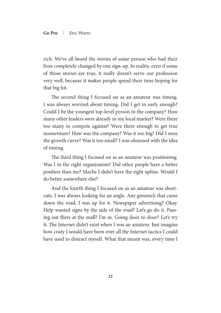rich. We've all heard the stories of some person who had their lives completely changed by one sign-up. In reality, even if some of those stories are true, it really doesn't serve our profession very well, because it makes people spend their time hoping for that big hit.

The second thing I focused on as an amateur was timing. I was always worried about timing. Did I get in early enough? Could I be the youngest top-level person in the company? How many other leaders were already in my local market? Were there too many to compete against? Were there enough to get true momentum? How was the company? Was it too big? Did I miss the growth curve? Was it too small? I was obsessed with the idea of timing.

The third thing I focused on as an amateur was positioning. Was I in the right organization? Did other people have a better position than me? Maybe I didn't have the right upline. Would I do better somewhere else?

And the fourth thing I focused on as an amateur was shortcuts. I was always looking for an angle. Any gimmick that came down the road, I was up for it. Newspaper advertising? Okay. Help wanted signs by the side of the road? Let's go do it. Passing out fliers at the mall? I'm in. Going door to door? Let's try it. The Internet didn't exist when I was an amateur. Just imagine how crazy I would have been over all the Internet tactics I could have used to distract myself. What that meant was, every time I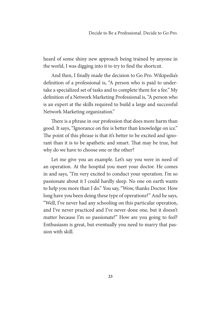heard of some shiny new approach being trained by anyone in the world, I was digging into it to try to find the shortcut.

And then, I finally made the decision to Go Pro. Wikipedia's definition of a professional is, "A person who is paid to undertake a specialized set of tasks and to complete them for a fee." My definition of a Network Marketing Professional is, "A person who is an expert at the skills required to build a large and successful Network Marketing organization."

There is a phrase in our profession that does more harm than good. It says, "Ignorance on fire is better than knowledge on ice." The point of this phrase is that it's better to be excited and ignorant than it is to be apathetic and smart. That may be true, but why do we have to choose one or the other?

Let me give you an example. Let's say you were in need of an operation. At the hospital you meet your doctor. He comes in and says, "I'm very excited to conduct your operation. I'm so passionate about it I could hardly sleep. No one on earth wants to help you more than I do." You say, "Wow, thanks Doctor. How long have you been doing these type of operations?" And he says, "Well, I've never had any schooling on this particular operation, and I've never practiced and I've never done one, but it doesn't matter because I'm so passionate!" How are you going to feel? Enthusiasm is great, but eventually you need to marry that passion with skill.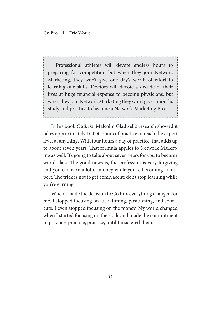Professional athletes will devote endless hours to preparing for competition but when they join Network Marketing, they won't give one day's worth of effort to learning our skills. Doctors will devote a decade of their lives at huge financial expense to become physicians, but when they join Network Marketing they won't give a month's study and practice to become a Network Marketing Pro.

In his book Outliers, Malcolm Gladwell's research showed it takes approximately 10,000 hours of practice to reach the expert level at anything. With four hours a day of practice, that adds up to about seven years. That formula applies to Network Marketing as well. It's going to take about seven years for you to become world-class. The good news is, the profession is very forgiving and you can earn a lot of money while you're becoming an expert. The trick is not to get complacent; don't stop learning while you're earning.

When I made the decision to Go Pro, everything changed for me. I stopped focusing on luck, timing, positioning, and shortcuts. I even stopped focusing on the money. My world changed when I started focusing on the skills and made the commitment to practice, practice, practice, until I mastered them.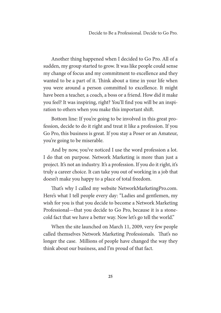Decide to Be a Professional. Decide to Go Pro.

Another thing happened when I decided to Go Pro. All of a sudden, my group started to grow. It was like people could sense my change of focus and my commitment to excellence and they wanted to be a part of it. Think about a time in your life when you were around a person committed to excellence. It might have been a teacher, a coach, a boss or a friend. How did it make you feel? It was inspiring, right? You'll find you will be an inspiration to others when you make this important shift.

Bottom line: If you're going to be involved in this great profession, decide to do it right and treat it like a profession. If you Go Pro, this business is great. If you stay a Poser or an Amateur, you're going to be miserable.

And by now, you've noticed I use the word profession a lot. I do that on purpose. Network Marketing is more than just a project. It's not an industry. It's a profession. If you do it right, it's truly a career choice. It can take you out of working in a job that doesn't make you happy to a place of total freedom.

That's why I called my website NetworkMarketingPro.com. Here's what I tell people every day: "Ladies and gentlemen, my wish for you is that you decide to become a Network Marketing Professional—that you decide to Go Pro, because it is a stonecold fact that we have a better way. Now let's go tell the world."

When the site launched on March 11, 2009, very few people called themselves Network Marketing Professionals. That's no longer the case. Millions of people have changed the way they think about our business, and I'm proud of that fact.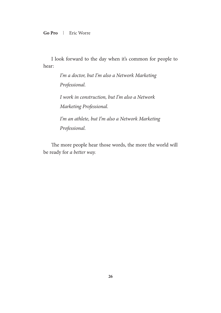**Go Pro** l Eric Worre

I look forward to the day when it's common for people to hear:

> I'm a doctor, but I'm also a Network Marketing Professional.

I work in construction, but I'm also a Network Marketing Professional.

I'm an athlete, but I'm also a Network Marketing Professional.

The more people hear those words, the more the world will be ready for a better way.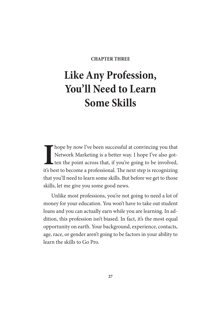### **CHAPTER THREE**

# **Like Any Profession, You'll Need to Learn Some Skills**

I hope by now I've been successful at convincing you that<br>Network Marketing is a better way. I hope I've also gotten the point across that, if you're going to be involved,<br>it's best to become a professional. The next step Network Marketing is a better way. I hope I've also gotten the point across that, if you're going to be involved, it's best to become a professional. The next step is recognizing that you'll need to learn some skills. But before we get to those skills, let me give you some good news.

Unlike most professions, you're not going to need a lot of money for your education. You won't have to take out student loans and you can actually earn while you are learning. In addition, this profession isn't biased. In fact, it's the most equal opportunity on earth. Your background, experience, contacts, age, race, or gender aren't going to be factors in your ability to learn the skills to Go Pro.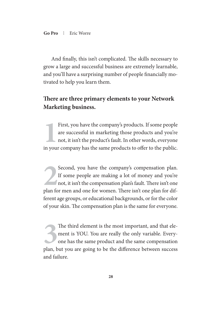#### **Go Pro** l Eric Worre

And finally, this isn't complicated. The skills necessary to grow a large and successful business are extremely learnable, and you'll have a surprising number of people financially motivated to help you learn them.

# **There are three primary elements to your Network Marketing business.**

First, you have the company's products. If some people are successful in marketing those products and you're not, it isn't the product's fault. In other words, everyone in your company has the same products to offer to the First, you have the company's products. If some people are successful in marketing those products and you're not, it isn't the product's fault. In other words, everyone

**22** Second, you have the company's compensation plan. If some people are making a lot of money and you're not, it isn't the compensation plan's fault. There isn't one plan for men and one for women. There isn't one plan f Second, you have the company's compensation plan. If some people are making a lot of money and you're not, it isn't the compensation plan's fault. There isn't one ferent age groups, or educational backgrounds, or for the color of your skin. The compensation plan is the same for everyone.

The third element is the most important, and that element is YOU. You are really the only variable. Every-<br>one has the same product and the same compensation<br>plan, but you are going to be the difference between success The third element is the most important, and that element is YOU. You are really the only variable. Everyone has the same product and the same compensation and failure.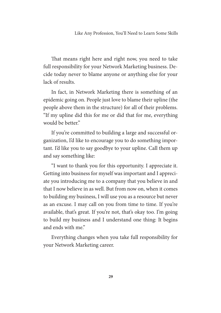Like Any Profession, You'll Need to Learn Some Skills

That means right here and right now, you need to take full responsibility for your Network Marketing business. Decide today never to blame anyone or anything else for your lack of results.

In fact, in Network Marketing there is something of an epidemic going on. People just love to blame their upline (the people above them in the structure) for all of their problems. "If my upline did this for me or did that for me, everything would be better."

If you're committed to building a large and successful organization, I'd like to encourage you to do something important. I'd like you to say goodbye to your upline. Call them up and say something like:

"I want to thank you for this opportunity. I appreciate it. Getting into business for myself was important and I appreciate you introducing me to a company that you believe in and that I now believe in as well. But from now on, when it comes to building my business, I will use you as a resource but never as an excuse. I may call on you from time to time. If you're available, that's great. If you're not, that's okay too. I'm going to build my business and I understand one thing: It begins and ends with me."

Everything changes when you take full responsibility for your Network Marketing career.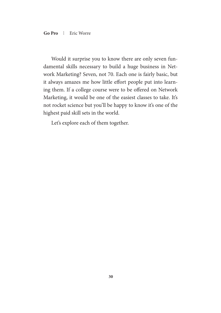**Go Pro** l Eric Worre

Would it surprise you to know there are only seven fundamental skills necessary to build a huge business in Network Marketing? Seven, not 70. Each one is fairly basic, but it always amazes me how little effort people put into learning them. If a college course were to be offered on Network Marketing, it would be one of the easiest classes to take. It's not rocket science but you'll be happy to know it's one of the highest paid skill sets in the world.

Let's explore each of them together.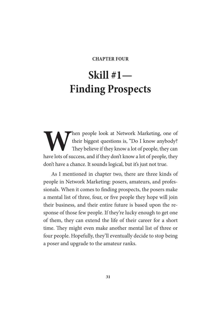### **CHAPTER FOUR**

# **Skill #1— Finding Prospects**

**WALLICE SERVICE SERVICE SERVICE SERVICE SERVICE SERVICE SERVICE SERVICE SERVICE SERVICE SERVICE SERVICE SERVICE SERVICE SERVICE SERVICE SERVICE SERVICE SERVICE SERVICE SERVICE SERVICE SERVICE SERVICE SERVICE SERVICE SERVI** their biggest questions is, "Do I know anybody? They believe if they know a lot of people, they can have lots of success, and if they don't know a lot of people, they don't have a chance. It sounds logical, but it's just not true.

As I mentioned in chapter two, there are three kinds of people in Network Marketing: posers, amateurs, and professionals. When it comes to finding prospects, the posers make a mental list of three, four, or five people they hope will join their business, and their entire future is based upon the response of those few people. If they're lucky enough to get one of them, they can extend the life of their career for a short time. They might even make another mental list of three or four people. Hopefully, they'll eventually decide to stop being a poser and upgrade to the amateur ranks.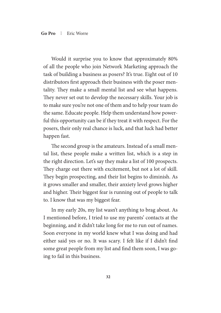Would it surprise you to know that approximately 80% of all the people who join Network Marketing approach the task of building a business as posers? It's true. Eight out of 10 distributors first approach their business with the poser mentality. They make a small mental list and see what happens. They never set out to develop the necessary skills. Your job is to make sure you're not one of them and to help your team do the same. Educate people. Help them understand how powerful this opportunity can be if they treat it with respect. For the posers, their only real chance is luck, and that luck had better happen fast.

The second group is the amateurs. Instead of a small mental list, these people make a written list, which is a step in the right direction. Let's say they make a list of 100 prospects. They charge out there with excitement, but not a lot of skill. They begin prospecting, and their list begins to diminish. As it grows smaller and smaller, their anxiety level grows higher and higher. Their biggest fear is running out of people to talk to. I know that was my biggest fear.

In my early 20s, my list wasn't anything to brag about. As I mentioned before, I tried to use my parents' contacts at the beginning, and it didn't take long for me to run out of names. Soon everyone in my world knew what I was doing and had either said yes or no. It was scary. I felt like if I didn't find some great people from my list and find them soon, I was going to fail in this business.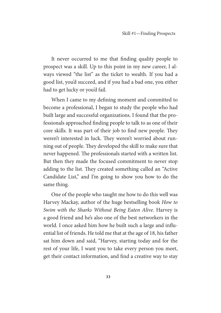It never occurred to me that finding quality people to prospect was a skill. Up to this point in my new career, I always viewed "the list" as the ticket to wealth. If you had a good list, you'd succeed, and if you had a bad one, you either had to get lucky or you'd fail.

When I came to my defining moment and committed to become a professional, I began to study the people who had built large and successful organizations. I found that the professionals approached finding people to talk to as one of their core skills. It was part of their job to find new people. They weren't interested in luck. They weren't worried about running out of people. They developed the skill to make sure that never happened. The professionals started with a written list. But then they made the focused commitment to never stop adding to the list. They created something called an "Active Candidate List," and I'm going to show you how to do the same thing.

One of the people who taught me how to do this well was Harvey Mackay, author of the huge bestselling book How to Swim with the Sharks Without Being Eaten Alive. Harvey is a good friend and he's also one of the best networkers in the world. I once asked him how he built such a large and influential list of friends. He told me that at the age of 18, his father sat him down and said, "Harvey, starting today and for the rest of your life, I want you to take every person you meet, get their contact information, and find a creative way to stay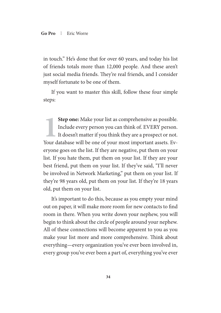in touch." He's done that for over 60 years, and today his list of friends totals more than 12,000 people. And these aren't just social media friends. They're real friends, and I consider myself fortunate to be one of them.

If you want to master this skill, follow these four simple steps:

**11 Step one:** Make your list as comprehensive as possible.<br>Include every person you can think of. EVERY person.<br>It doesn't matter if you think they are a prospect or not.<br>Your database will be one of your most important a **Step one:** Make your list as comprehensive as possible. Include every person you can think of. EVERY person. It doesn't matter if you think they are a prospect or not. eryone goes on the list. If they are negative, put them on your list. If you hate them, put them on your list. If they are your best friend, put them on your list. If they've said, "I'll never be involved in Network Marketing," put them on your list. If they're 98 years old, put them on your list. If they're 18 years old, put them on your list.

It's important to do this, because as you empty your mind out on paper, it will make more room for new contacts to find room in there. When you write down your nephew, you will begin to think about the circle of people around your nephew. All of these connections will become apparent to you as you make your list more and more comprehensive. Think about everything—every organization you've ever been involved in, every group you've ever been a part of, everything you've ever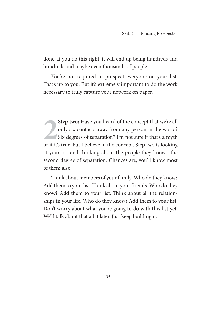done. If you do this right, it will end up being hundreds and hundreds and maybe even thousands of people.

You're not required to prospect everyone on your list. That's up to you. But it's extremely important to do the work necessary to truly capture your network on paper.

**22** Step two: Have you heard of the concept that we're all only six contacts away from any person in the world?<br>
Six degrees of separation? I'm not sure if that's a myth or if it's true, but I believe in the concept. Step **Step two:** Have you heard of the concept that we're all only six contacts away from any person in the world? Six degrees of separation? I'm not sure if that's a myth at your list and thinking about the people they know—the second degree of separation. Chances are, you'll know most of them also.

Think about members of your family. Who do they know? Add them to your list. Think about your friends. Who do they know? Add them to your list. Think about all the relationships in your life. Who do they know? Add them to your list. Don't worry about what you're going to do with this list yet. We'll talk about that a bit later. Just keep building it.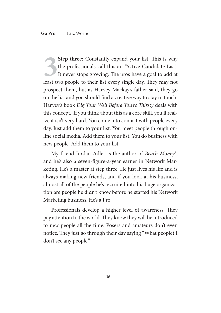**32 Step three:** Constantly expand your list. This is why the professionals call this an "Active Candidate List." It never stops growing. The pros have a goal to add at least two people to their list every single day. They **Step three:** Constantly expand your list. This is why the professionals call this an "Active Candidate List." It never stops growing. The pros have a goal to add at prospect them, but as Harvey Mackay's father said, they go on the list and you should find a creative way to stay in touch. Harvey's book Dig Your Well Before You're Thirsty deals with this concept. If you think about this as a core skill, you'll realize it isn't very hard. You come into contact with people every day. Just add them to your list. You meet people through online social media. Add them to your list. You do business with new people. Add them to your list.

My friend Jordan Adler is the author of Beach Money®, and he's also a seven-figure-a-year earner in Network Marketing. He's a master at step three. He just lives his life and is always making new friends, and if you look at his business, almost all of the people he's recruited into his huge organization are people he didn't know before he started his Network Marketing business. He's a Pro.

Professionals develop a higher level of awareness. They pay attention to the world. They know they will be introduced to new people all the time. Posers and amateurs don't even notice. They just go through their day saying "What people? I don't see any people."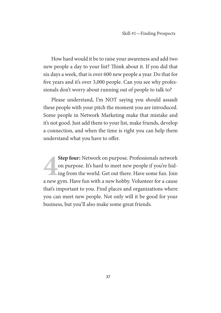How hard would it be to raise your awareness and add two new people a day to your list? Think about it. If you did that six days a week, that is over 600 new people a year. Do that for five years and it's over 3,000 people. Can you see why professionals don't worry about running out of people to talk to?

Please understand, I'm NOT saying you should assault these people with your pitch the moment you are introduced. Some people in Network Marketing make that mistake and it's not good. Just add them to your list, make friends, develop a connection, and when the time is right you can help them understand what you have to offer.

**4 Step four:** Network on purpose. Professionals network<br>on purpose. It's hard to meet new people if you're hid-<br>ing from the world. Get out there. Have some fun. Join<br>a new sym. Have fun with a new hobby. Volunteer for a on purpose. It's hard to meet new people if you're hiding from the world. Get out there. Have some fun. Join a new gym. Have fun with a new hobby. Volunteer for a cause that's important to you. Find places and organizations where you can meet new people. Not only will it be good for your business, but you'll also make some great friends.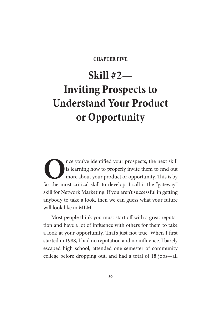### **CHAPTER FIVE**

# **Skill #2— Inviting Prospects to Understand Your Product or Opportunity**

**O**nce you've identified your prospects, the next skill is learning how to properly invite them to find out more about your product or opportunity. This is by far the most critical skill to develop. I call it the "gateway" is learning how to properly invite them to find out more about your product or opportunity. This is by far the most critical skill to develop. I call it the "gateway" skill for Network Marketing. If you aren't successful in getting anybody to take a look, then we can guess what your future will look like in MLM.

Most people think you must start off with a great reputation and have a lot of influence with others for them to take a look at your opportunity. That's just not true. When I first started in 1988, I had no reputation and no influence. I barely escaped high school, attended one semester of community college before dropping out, and had a total of 18 jobs—all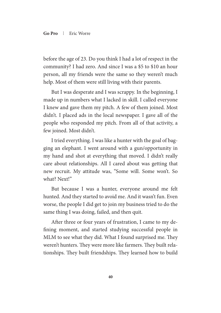before the age of 23. Do you think I had a lot of respect in the community? I had zero. And since I was a \$5 to \$10 an hour person, all my friends were the same so they weren't much help. Most of them were still living with their parents.

But I was desperate and I was scrappy. In the beginning, I made up in numbers what I lacked in skill. I called everyone I knew and gave them my pitch. A few of them joined. Most didn't. I placed ads in the local newspaper. I gave all of the people who responded my pitch. From all of that activity, a few joined. Most didn't.

I tried everything. I was like a hunter with the goal of bagging an elephant. I went around with a gun/opportunity in my hand and shot at everything that moved. I didn't really care about relationships. All I cared about was getting that new recruit. My attitude was, "Some will. Some won't. So what? Next!"

But because I was a hunter, everyone around me felt hunted. And they started to avoid me. And it wasn't fun. Even worse, the people I did get to join my business tried to do the same thing I was doing, failed, and then quit.

After three or four years of frustration, I came to my defining moment, and started studying successful people in MLM to see what they did. What I found surprised me. They weren't hunters. They were more like farmers. They built relationships. They built friendships. They learned how to build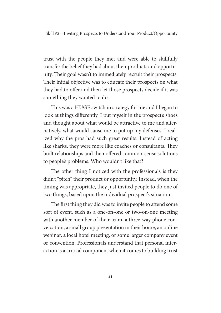Skill #2—Inviting Prospects to Understand Your Product/Opportunity

trust with the people they met and were able to skillfully transfer the belief they had about their products and opportunity. Their goal wasn't to immediately recruit their prospects. Their initial objective was to educate their prospects on what they had to offer and then let those prospects decide if it was something they wanted to do.

This was a HUGE switch in strategy for me and I began to look at things differently. I put myself in the prospect's shoes and thought about what would be attractive to me and alternatively, what would cause me to put up my defenses. I realized why the pros had such great results. Instead of acting like sharks, they were more like coaches or consultants. They built relationships and then offered common-sense solutions to people's problems. Who wouldn't like that?

The other thing I noticed with the professionals is they didn't "pitch" their product or opportunity. Instead, when the timing was appropriate, they just invited people to do one of two things, based upon the individual prospect's situation.

The first thing they did was to invite people to attend some sort of event, such as a one-on-one or two-on-one meeting with another member of their team, a three-way phone conversation, a small group presentation in their home, an online webinar, a local hotel meeting, or some larger company event or convention. Professionals understand that personal interaction is a critical component when it comes to building trust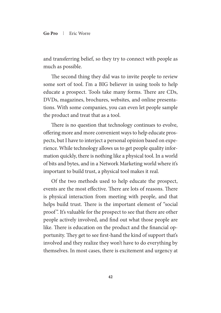and transferring belief, so they try to connect with people as much as possible.

The second thing they did was to invite people to review some sort of tool. I'm a BIG believer in using tools to help educate a prospect. Tools take many forms. There are CDs, DVDs, magazines, brochures, websites, and online presentations. With some companies, you can even let people sample the product and treat that as a tool.

There is no question that technology continues to evolve, offering more and more convenient ways to help educate prospects, but I have to interject a personal opinion based on experience. While technology allows us to get people quality information quickly, there is nothing like a physical tool. In a world of bits and bytes, and in a Network Marketing world where it's important to build trust, a physical tool makes it real.

Of the two methods used to help educate the prospect, events are the most effective. There are lots of reasons. There is physical interaction from meeting with people, and that helps build trust. There is the important element of "social proof ". It's valuable for the prospect to see that there are other people actively involved, and find out what those people are like. There is education on the product and the financial opportunity. They get to see first-hand the kind of support that's involved and they realize they won't have to do everything by themselves. In most cases, there is excitement and urgency at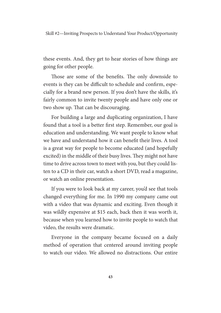Skill #2—Inviting Prospects to Understand Your Product/Opportunity

these events. And, they get to hear stories of how things are going for other people.

Those are some of the benefits. The only downside to events is they can be difficult to schedule and confirm, especially for a brand new person. If you don't have the skills, it's fairly common to invite twenty people and have only one or two show up. That can be discouraging.

For building a large and duplicating organization, I have found that a tool is a better first step. Remember, our goal is education and understanding. We want people to know what we have and understand how it can benefit their lives. A tool is a great way for people to become educated (and hopefully excited) in the middle of their busy lives. They might not have time to drive across town to meet with you, but they could listen to a CD in their car, watch a short DVD, read a magazine, or watch an online presentation.

If you were to look back at my career, you'd see that tools changed everything for me. In 1990 my company came out with a video that was dynamic and exciting. Even though it was wildly expensive at \$15 each, back then it was worth it, because when you learned how to invite people to watch that video, the results were dramatic.

Everyone in the company became focused on a daily method of operation that centered around inviting people to watch our video. We allowed no distractions. Our entire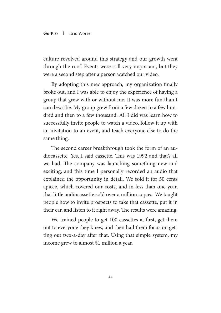culture revolved around this strategy and our growth went through the roof. Events were still very important, but they were a second step after a person watched our video.

By adopting this new approach, my organization finally broke out, and I was able to enjoy the experience of having a group that grew with or without me. It was more fun than I can describe. My group grew from a few dozen to a few hundred and then to a few thousand. All I did was learn how to successfully invite people to watch a video, follow it up with an invitation to an event, and teach everyone else to do the same thing.

The second career breakthrough took the form of an audiocassette. Yes, I said cassette. This was 1992 and that's all we had. The company was launching something new and exciting, and this time I personally recorded an audio that explained the opportunity in detail. We sold it for 50 cents apiece, which covered our costs, and in less than one year, that little audiocassette sold over a million copies. We taught people how to invite prospects to take that cassette, put it in their car, and listen to it right away. The results were amazing.

We trained people to get 100 cassettes at first, get them out to everyone they knew, and then had them focus on getting out two-a-day after that. Using that simple system, my income grew to almost \$1 million a year.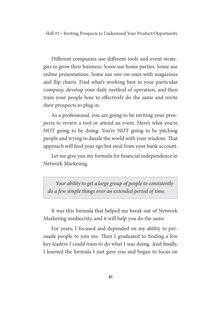Skill #2—Inviting Prospects to Understand Your Product/Opportunity

Different companies use different tools and event strategies to grow their business. Some use home parties. Some use online presentations. Some use one-on-ones with magazines and flip charts. Find what's working best in your particular company, develop your daily method of operation, and then train your people how to effectively do the same and invite their prospects to plug in.

As a professional, you are going to be inviting your prospects to review a tool or attend an event. Here's what you're NOT going to be doing: You're NOT going to be pitching people and trying to dazzle the world with your wisdom. That approach will feed your ego but steal from your bank account.

Let me give you my formula for financial independence in Network Marketing.

Your ability to get a large group of people to consistently do a few simple things over an extended period of time.

It was this formula that helped me break out of Network Marketing mediocrity, and it will help you do the same.

For years, I focused and depended on my ability to persuade people to join me. Then I graduated to finding a few key leaders I could train to do what I was doing. And finally, I learned the formula I just gave you and began to focus on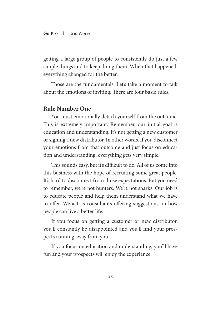getting a large group of people to consistently do just a few simple things and to keep doing them. When that happened, everything changed for the better.

Those are the fundamentals. Let's take a moment to talk about the emotions of inviting. There are four basic rules.

### **Rule Number One**

You must emotionally detach yourself from the outcome. This is extremely important. Remember, our initial goal is education and understanding. It's not getting a new customer or signing a new distributor. In other words, if you disconnect your emotions from that outcome and just focus on education and understanding, everything gets very simple.

This sounds easy, but it's difficult to do. All of us come into this business with the hope of recruiting some great people. It's hard to disconnect from those expectations. But you need to remember, we're not hunters. We're not sharks. Our job is to educate people and help them understand what we have to offer. We act as consultants offering suggestions on how people can live a better life.

If you focus on getting a customer or new distributor, you'll constantly be disappointed and you'll find your prospects running away from you.

If you focus on education and understanding, you'll have fun and your prospects will enjoy the experience.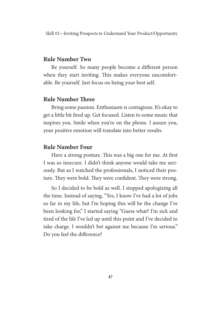# **Rule Number Two**

Be yourself. So many people become a different person when they start inviting. This makes everyone uncomfortable. Be yourself. Just focus on being your best self.

### **Rule Number Three**

Bring some passion. Enthusiasm is contagious. It's okay to get a little bit fired up. Get focused. Listen to some music that inspires you. Smile when you're on the phone. I assure you, your positive emotion will translate into better results.

## **Rule Number Four**

Have a strong posture. This was a big one for me. At first I was so insecure. I didn't think anyone would take me seriously. But as I watched the professionals, I noticed their posture. They were bold. They were confident. They were strong.

So I decided to be bold as well. I stopped apologizing all the time. Instead of saying, "Yes, I know I've had a lot of jobs so far in my life, but I'm hoping this will be the change I've been looking for," I started saying "Guess what? I'm sick and tired of the life I've led up until this point and I've decided to take charge. I wouldn't bet against me because I'm serious." Do you feel the difference?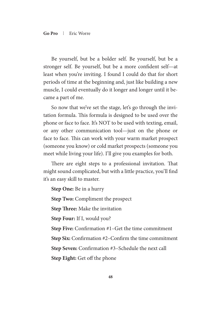Be yourself, but be a bolder self. Be yourself, but be a stronger self. Be yourself, but be a more confident self—at least when you're inviting. I found I could do that for short periods of time at the beginning and, just like building a new muscle, I could eventually do it longer and longer until it became a part of me.

So now that we've set the stage, let's go through the invitation formula. This formula is designed to be used over the phone or face to face. It's NOT to be used with texting, email, or any other communication tool—just on the phone or face to face. This can work with your warm market prospect (someone you know) or cold market prospects (someone you meet while living your life). I'll give you examples for both.

There are eight steps to a professional invitation. That might sound complicated, but with a little practice, you'll find it's an easy skill to master.

**Step One:** Be in a hurry **Step Two:** Compliment the prospect **Step Three:** Make the invitation **Step Four:** If I, would you? **Step Five:** Confirmation #1–Get the time commitment **Step Six:** Confirmation #2–Confirm the time commitment **Step Seven:** Confirmation #3–Schedule the next call **Step Eight:** Get off the phone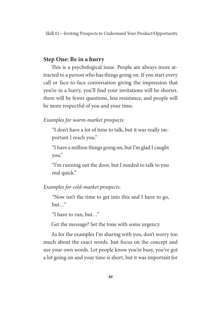Skill #2—Inviting Prospects to Understand Your Product/Opportunity

# **Step One: Be in a hurry**

This is a psychological issue. People are always more attracted to a person who has things going on. If you start every call or face-to-face conversation giving the impression that you're in a hurry, you'll find your invitations will be shorter, there will be fewer questions, less resistance, and people will be more respectful of you and your time.

### Examples for warm-market prospects:

"I don't have a lot of time to talk, but it was really important I reach you."

"I have a million things going on, but I'm glad I caught you."

"I'm running out the door, but I needed to talk to you real quick."

# Examples for cold-market prospects:

"Now isn't the time to get into this and I have to go, but…"

"I have to run, but…"

Get the message? Set the tone with some urgency.

As for the examples I'm sharing with you, don't worry too much about the exact words. Just focus on the concept and use your own words. Let people know you're busy, you've got a lot going on and your time is short, but it was important for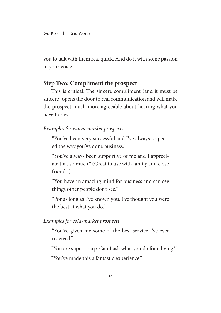**Go Pro** l Eric Worre

you to talk with them real quick. And do it with some passion in your voice.

## **Step Two: Compliment the prospect**

This is critical. The sincere compliment (and it must be sincere) opens the door to real communication and will make the prospect much more agreeable about hearing what you have to say.

#### Examples for warm-market prospects:

"You've been very successful and I've always respected the way you've done business."

"You've always been supportive of me and I appreciate that so much." (Great to use with family and close friends.)

"You have an amazing mind for business and can see things other people don't see."

"For as long as I've known you, I've thought you were the best at what you do."

Examples for cold-market prospects:

"You've given me some of the best service I've ever received."

"You are super sharp. Can I ask what you do for a living?"

"You've made this a fantastic experience."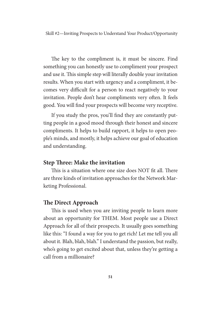Skill #2—Inviting Prospects to Understand Your Product/Opportunity

The key to the compliment is, it must be sincere. Find something you can honestly use to compliment your prospect and use it. This simple step will literally double your invitation results. When you start with urgency and a compliment, it becomes very difficult for a person to react negatively to your invitation. People don't hear compliments very often. It feels good. You will find your prospects will become very receptive.

If you study the pros, you'll find they are constantly putting people in a good mood through their honest and sincere compliments. It helps to build rapport, it helps to open people's minds, and mostly, it helps achieve our goal of education and understanding.

#### **Step Three: Make the invitation**

This is a situation where one size does NOT fit all. There are three kinds of invitation approaches for the Network Marketing Professional.

#### **The Direct Approach**

This is used when you are inviting people to learn more about an opportunity for THEM. Most people use a Direct Approach for all of their prospects. It usually goes something like this: "I found a way for you to get rich! Let me tell you all about it. Blah, blah, blah." I understand the passion, but really, who's going to get excited about that, unless they're getting a call from a millionaire?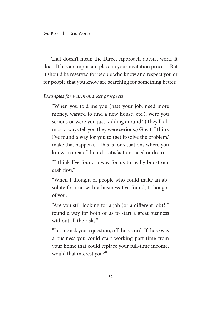That doesn't mean the Direct Approach doesn't work. It does. It has an important place in your invitation process. But it should be reserved for people who know and respect you or for people that you know are searching for something better.

#### Examples for warm-market prospects:

"When you told me you (hate your job, need more money, wanted to find a new house, etc.), were you serious or were you just kidding around? (They'll almost always tell you they were serious.) Great! I think I've found a way for you to (get it/solve the problem/ make that happen)." This is for situations where you know an area of their dissatisfaction, need or desire.

"I think I've found a way for us to really boost our cash flow."

"When I thought of people who could make an absolute fortune with a business I've found, I thought of you."

"Are you still looking for a job (or a different job)? I found a way for both of us to start a great business without all the risks."

"Let me ask you a question, off the record. If there was a business you could start working part-time from your home that could replace your full-time income, would that interest you?"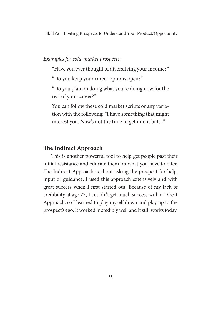Skill #2—Inviting Prospects to Understand Your Product/Opportunity

#### Examples for cold-market prospects:

"Have you ever thought of diversifying your income?"

"Do you keep your career options open?"

"Do you plan on doing what you're doing now for the rest of your career?"

You can follow these cold market scripts or any variation with the following: "I have something that might interest you. Now's not the time to get into it but…"

### **The Indirect Approach**

This is another powerful tool to help get people past their initial resistance and educate them on what you have to offer. The Indirect Approach is about asking the prospect for help, input or guidance. I used this approach extensively and with great success when I first started out. Because of my lack of credibility at age 23, I couldn't get much success with a Direct Approach, so I learned to play myself down and play up to the prospect's ego. It worked incredibly well and it still works today.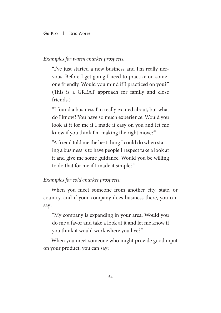**Go Pro** l Eric Worre

#### Examples for warm-market prospects:

"I've just started a new business and I'm really nervous. Before I get going I need to practice on someone friendly. Would you mind if I practiced on you?" (This is a GREAT approach for family and close friends.)

"I found a business I'm really excited about, but what do I know? You have so much experience. Would you look at it for me if I made it easy on you and let me know if you think I'm making the right move?"

"A friend told me the best thing I could do when starting a business is to have people I respect take a look at it and give me some guidance. Would you be willing to do that for me if I made it simple?"

#### Examples for cold-market prospects:

When you meet someone from another city, state, or country, and if your company does business there, you can say:

"My company is expanding in your area. Would you do me a favor and take a look at it and let me know if you think it would work where you live?"

When you meet someone who might provide good input on your product, you can say: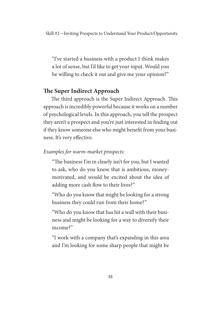"I've started a business with a product I think makes a lot of sense, but I'd like to get your input. Would you be willing to check it out and give me your opinion?"

## **The Super Indirect Approach**

The third approach is the Super Indirect Approach. This approach is incredibly powerful because it works on a number of psychological levels. In this approach, you tell the prospect they aren't a prospect and you're just interested in finding out if they know someone else who might benefit from your business. It's very effective.

#### Examples for warm-market prospects:

"The business I'm in clearly isn't for you, but I wanted to ask, who do you know that is ambitious, moneymotivated, and would be excited about the idea of adding more cash flow to their lives?"

"Who do you know that might be looking for a strong business they could run from their home?"

"Who do you know that has hit a wall with their business and might be looking for a way to diversify their income?"

"I work with a company that's expanding in this area and I'm looking for some sharp people that might be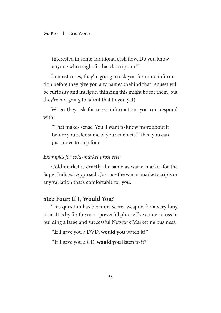interested in some additional cash flow. Do you know anyone who might fit that description?"

In most cases, they're going to ask you for more information before they give you any names (behind that request will be curiosity and intrigue, thinking this might be for them, but they're not going to admit that to you yet).

When they ask for more information, you can respond with:

"That makes sense. You'll want to know more about it before you refer some of your contacts." Then you can just move to step four.

#### Examples for cold-market prospects:

Cold market is exactly the same as warm market for the Super Indirect Approach. Just use the warm-market scripts or any variation that's comfortable for you.

#### **Step Four: If I, Would You?**

This question has been my secret weapon for a very long time. It is by far the most powerful phrase I've come across in building a large and successful Network Marketing business.

"**If I** gave you a DVD, **would you** watch it?"

"**If I** gave you a CD, **would you** listen to it?"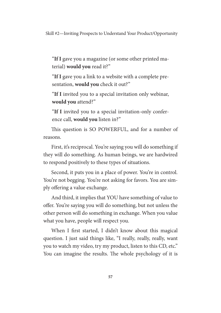Skill #2—Inviting Prospects to Understand Your Product/Opportunity

"**If I** gave you a magazine (or some other printed material) **would you** read it?"

"**If I** gave you a link to a website with a complete presentation, **would you** check it out?"

"**If I** invited you to a special invitation only webinar, **would you** attend?"

"**If I** invited you to a special invitation-only conference call, **would you** listen in?"

This question is SO POWERFUL, and for a number of reasons.

First, it's reciprocal. You're saying you will do something if they will do something. As human beings, we are hardwired to respond positively to these types of situations.

Second, it puts you in a place of power. You're in control. You're not begging. You're not asking for favors. You are simply offering a value exchange.

And third, it implies that YOU have something of value to offer. You're saying you will do something, but not unless the other person will do something in exchange. When you value what you have, people will respect you.

When I first started, I didn't know about this magical question. I just said things like, "I really, really, really, want you to watch my video, try my product, listen to this CD, etc." You can imagine the results. The whole psychology of it is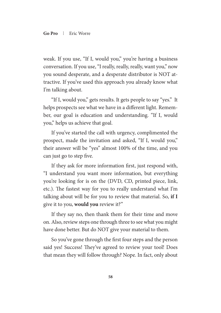weak. If you use, "If I, would you," you're having a business conversation. If you use, "I really, really, really, want you," now you sound desperate, and a desperate distributor is NOT attractive. If you've used this approach you already know what I'm talking about.

"If I, would you," gets results. It gets people to say "yes." It helps prospects see what we have in a different light. Remember, our goal is education and understanding. "If I, would you," helps us achieve that goal.

If you've started the call with urgency, complimented the prospect, made the invitation and asked, "If I, would you," their answer will be "yes" almost 100% of the time, and you can just go to step five.

If they ask for more information first, just respond with, "I understand you want more information, but everything you're looking for is on the (DVD, CD, printed piece, link, etc.). The fastest way for you to really understand what I'm talking about will be for you to review that material. So, **if I**  give it to you, **would you** review it?"

If they say no, then thank them for their time and move on. Also, review steps one through three to see what you might have done better. But do NOT give your material to them.

So you've gone through the first four steps and the person said yes! Success! They've agreed to review your tool! Does that mean they will follow through? Nope. In fact, only about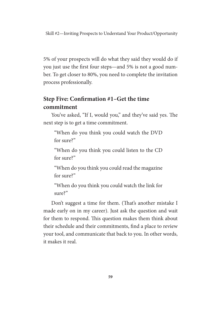Skill #2—Inviting Prospects to Understand Your Product/Opportunity

5% of your prospects will do what they said they would do if you just use the first four steps—and 5% is not a good number. To get closer to 80%, you need to complete the invitation process professionally.

## **Step Five: Confirmation #1–Get the time commitment**

You've asked, "If I, would you," and they've said yes. The next step is to get a time commitment.

"When do you think you could watch the DVD for sure?"

"When do you think you could listen to the CD for sure?"

"When do you think you could read the magazine for sure?"

"When do you think you could watch the link for sure?"

Don't suggest a time for them. (That's another mistake I made early on in my career). Just ask the question and wait for them to respond. This question makes them think about their schedule and their commitments, find a place to review your tool, and communicate that back to you. In other words, it makes it real.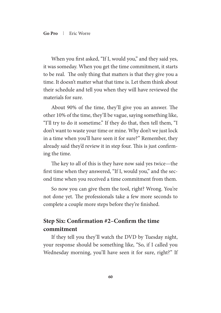When you first asked, "If I, would you," and they said yes, it was someday. When you get the time commitment, it starts to be real. The only thing that matters is that they give you a time. It doesn't matter what that time is. Let them think about their schedule and tell you when they will have reviewed the materials for sure.

About 90% of the time, they'll give you an answer. The other 10% of the time, they'll be vague, saying something like, "I'll try to do it sometime." If they do that, then tell them, "I don't want to waste your time or mine. Why don't we just lock in a time when you'll have seen it for sure?" Remember, they already said they'd review it in step four. This is just confirming the time.

The key to all of this is they have now said yes twice—the first time when they answered, "If I, would you," and the second time when you received a time commitment from them.

So now you can give them the tool, right? Wrong. You're not done yet. The professionals take a few more seconds to complete a couple more steps before they're finished.

# **Step Six: Confirmation #2–Confirm the time commitment**

If they tell you they'll watch the DVD by Tuesday night, your response should be something like, "So, if I called you Wednesday morning, you'll have seen it for sure, right?" If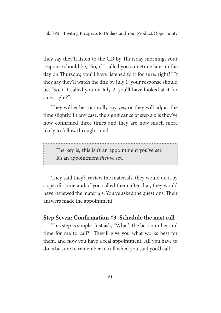Skill #2—Inviting Prospects to Understand Your Product/Opportunity

they say they'll listen to the CD by Thursday morning, your response should be, "So, if I called you sometime later in the day on Thursday, you'll have listened to it for sure, right?" If they say they'll watch the link by July 1, your response should be, "So, if I called you on July 2, you'll have looked at it for sure, right?"

They will either naturally say yes, or they will adjust the time slightly. In any case, the significance of step six is they've now confirmed three times and they are now much more likely to follow through—and,

The key is, this isn't an appointment you've set. It's an appointment *they've* set.

They said they'd review the materials, they would do it by a specific time and, if you called them after that, they would have reviewed the materials. You've asked the questions. Their answers made the appointment.

#### **Step Seven: Confirmation #3–Schedule the next call**

This step is simple. Just ask, "What's the best number and time for me to call?" They'll give you what works best for them, and now you have a real appointment. All you have to do is be sure to remember to call when you said you'd call.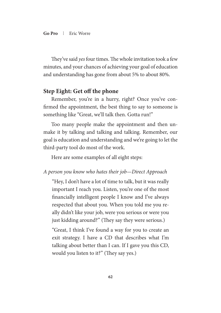They've said yes four times. The whole invitation took a few minutes, and your chances of achieving your goal of education and understanding has gone from about 5% to about 80%.

### **Step Eight: Get off the phone**

Remember, you're in a hurry, right? Once you've confirmed the appointment, the best thing to say to someone is something like "Great, we'll talk then. Gotta run!"

Too many people make the appointment and then unmake it by talking and talking and talking. Remember, our goal is education and understanding and we're going to let the third-party tool do most of the work.

Here are some examples of all eight steps:

A person you know who hates their job—Direct Approach

"Hey, I don't have a lot of time to talk, but it was really important I reach you. Listen, you're one of the most financially intelligent people I know and I've always respected that about you. When you told me you really didn't like your job, were you serious or were you just kidding around?" (They say they were serious.)

"Great, I think I've found a way for you to create an exit strategy. I have a CD that describes what I'm talking about better than I can. If I gave you this CD, would you listen to it?" (They say yes.)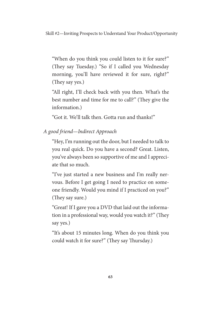Skill #2—Inviting Prospects to Understand Your Product/Opportunity

"When do you think you could listen to it for sure?" (They say Tuesday.) "So if I called you Wednesday morning, you'll have reviewed it for sure, right?" (They say yes.)

"All right, I'll check back with you then. What's the best number and time for me to call?" (They give the information.)

"Got it. We'll talk then. Gotta run and thanks!"

A good friend—Indirect Approach

"Hey, I'm running out the door, but I needed to talk to you real quick. Do you have a second? Great. Listen, you've always been so supportive of me and I appreciate that so much.

"I've just started a new business and I'm really nervous. Before I get going I need to practice on someone friendly. Would you mind if I practiced on you?" (They say sure.)

"Great! If I gave you a DVD that laid out the information in a professional way, would you watch it?" (They say yes.)

"It's about 15 minutes long. When do you think you could watch it for sure?" (They say Thursday.)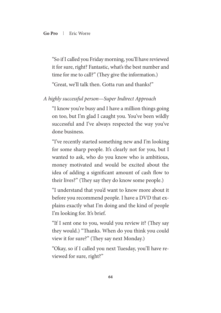"So if I called you Friday morning, you'll have reviewed it for sure, right? Fantastic, what's the best number and time for me to call?" (They give the information.)

"Great, we'll talk then. Gotta run and thanks!"

A highly successful person—Super Indirect Approach

"I know you're busy and I have a million things going on too, but I'm glad I caught you. You've been wildly successful and I've always respected the way you've done business.

"I've recently started something new and I'm looking for some sharp people. It's clearly not for you, but I wanted to ask, who do you know who is ambitious, money motivated and would be excited about the idea of adding a significant amount of cash flow to their lives?" (They say they do know some people.)

"I understand that you'd want to know more about it before you recommend people. I have a DVD that explains exactly what I'm doing and the kind of people I'm looking for. It's brief.

"If I sent one to you, would you review it? (They say they would.) "Thanks. When do you think you could view it for sure?" (They say next Monday.)

"Okay, so if I called you next Tuesday, you'll have reviewed for sure, right?"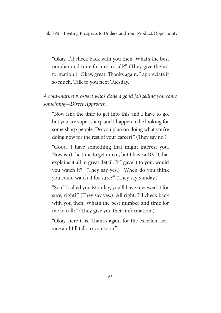"Okay, I'll check back with you then. What's the best number and time for me to call?" (They give the information.) "Okay, great. Thanks again, I appreciate it so much. Talk to you next Tuesday."

## A cold-market prospect who's done a good job selling you some something—Direct Approach.

"Now isn't the time to get into this and I have to go, but you are super sharp and I happen to be looking for some sharp people. Do you plan on doing what you're doing now for the rest of your career?" (They say no.)

"Good. I have something that might interest you. Now isn't the time to get into it, but I have a DVD that explains it all in great detail. If I gave it to you, would you watch it?" (They say yes.) "When do you think you could watch it for sure?" (They say Sunday.)

"So if I called you Monday, you'll have reviewed it for sure, right?" (They say yes.) "All right, I'll check back with you then. What's the best number and time for me to call?" (They give you their information.)

"Okay, here it is. Thanks again for the excellent service and I'll talk to you soon."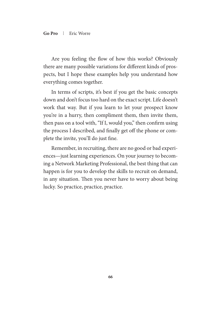Are you feeling the flow of how this works? Obviously there are many possible variations for different kinds of prospects, but I hope these examples help you understand how everything comes together.

In terms of scripts, it's best if you get the basic concepts down and don't focus too hard on the exact script. Life doesn't work that way. But if you learn to let your prospect know you're in a hurry, then compliment them, then invite them, then pass on a tool with, "If I, would you," then confirm using the process I described, and finally get off the phone or complete the invite, you'll do just fine.

Remember, in recruiting, there are no good or bad experiences—just learning experiences. On your journey to becoming a Network Marketing Professional, the best thing that can happen is for you to develop the skills to recruit on demand, in any situation. Then you never have to worry about being lucky. So practice, practice, practice.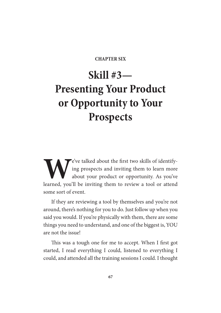#### **CHAPTER SIX**

# **Skill #3— Presenting Your Product or Opportunity to Your Prospects**

Eve talked about the first two skills of identifying prospects and inviting them to learn more about your product or opportunity. As you've learned, you'll be inviting them to review a tool or attend ing prospects and inviting them to learn more about your product or opportunity. As you've learned, you'll be inviting them to review a tool or attend some sort of event.

If they are reviewing a tool by themselves and you're not around, there's nothing for you to do. Just follow up when you said you would. If you're physically with them, there are some things you need to understand, and one of the biggest is, YOU are not the issue!

This was a tough one for me to accept. When I first got started, I read everything I could, listened to everything I could, and attended all the training sessions I could. I thought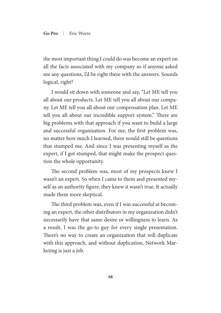the most important thing I could do was become an expert on all the facts associated with my company so if anyone asked me any questions, I'd be right there with the answers. Sounds logical, right?

I would sit down with someone and say, "Let ME tell you all about our products. Let ME tell you all about our company. Let ME tell you all about our compensation plan. Let ME tell you all about our incredible support system." There are big problems with that approach if you want to build a large and successful organization. For me, the first problem was, no matter how much I learned, there would still be questions that stumped me. And since I was presenting myself as the expert, if I got stumped, that might make the prospect question the whole opportunity.

The second problem was, most of my prospects knew I wasn't an expert. So when I came to them and presented myself as an authority figure, they knew it wasn't true. It actually made them more skeptical.

The third problem was, even if I was successful at becoming an expert, the other distributors in my organization didn't necessarily have that same desire or willingness to learn. As a result, I was the go-to guy for every single presentation. There's no way to create an organization that will duplicate with this approach, and without duplication, Network Marketing is just a job.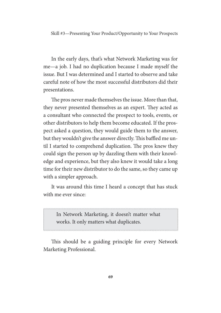Skill #3—Presenting Your Product/Opportunity to Your Prospects

In the early days, that's what Network Marketing was for me—a job. I had no duplication because I made myself the issue. But I was determined and I started to observe and take careful note of how the most successful distributors did their presentations.

The pros never made themselves the issue. More than that, they never presented themselves as an expert. They acted as a consultant who connected the prospect to tools, events, or other distributors to help them become educated. If the prospect asked a question, they would guide them to the answer, but they wouldn't give the answer directly. This baffled me until I started to comprehend duplication. The pros knew they could sign the person up by dazzling them with their knowledge and experience, but they also knew it would take a long time for their new distributor to do the same, so they came up with a simpler approach.

It was around this time I heard a concept that has stuck with me ever since:

In Network Marketing, it doesn't matter what works. It only matters what duplicates.

This should be a guiding principle for every Network Marketing Professional.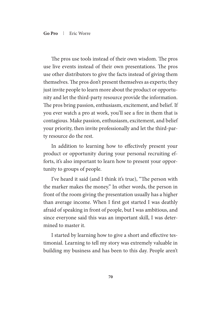The pros use tools instead of their own wisdom. The pros use live events instead of their own presentations. The pros use other distributors to give the facts instead of giving them themselves. The pros don't present themselves as experts; they just invite people to learn more about the product or opportunity and let the third-party resource provide the information. The pros bring passion, enthusiasm, excitement, and belief. If you ever watch a pro at work, you'll see a fire in them that is contagious. Make passion, enthusiasm, excitement, and belief your priority, then invite professionally and let the third-party resource do the rest.

In addition to learning how to effectively present your product or opportunity during your personal recruiting efforts, it's also important to learn how to present your opportunity to groups of people.

I've heard it said (and I think it's true), "The person with the marker makes the money." In other words, the person in front of the room giving the presentation usually has a higher than average income. When I first got started I was deathly afraid of speaking in front of people, but I was ambitious, and since everyone said this was an important skill, I was determined to master it.

I started by learning how to give a short and effective testimonial. Learning to tell my story was extremely valuable in building my business and has been to this day. People aren't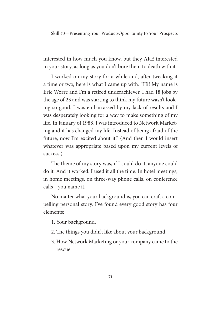Skill #3—Presenting Your Product/Opportunity to Your Prospects

interested in how much you know, but they ARE interested in your story, as long as you don't bore them to death with it.

I worked on my story for a while and, after tweaking it a time or two, here is what I came up with. "Hi! My name is Eric Worre and I'm a retired underachiever. I had 18 jobs by the age of 23 and was starting to think my future wasn't looking so good. I was embarrassed by my lack of results and I was desperately looking for a way to make something of my life. In January of 1988, I was introduced to Network Marketing and it has changed my life. Instead of being afraid of the future, now I'm excited about it." (And then I would insert whatever was appropriate based upon my current levels of success.)

The theme of my story was, if I could do it, anyone could do it. And it worked. I used it all the time. In hotel meetings, in home meetings, on three-way phone calls, on conference calls—you name it.

No matter what your background is, you can craft a compelling personal story. I've found every good story has four elements:

- 1. Your background.
- 2. The things you didn't like about your background.
- 3. How Network Marketing or your company came to the rescue.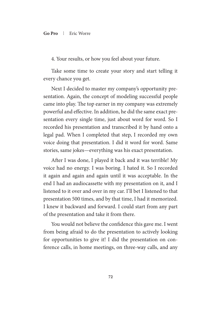#### **Go Pro** l Eric Worre

4. Your results, or how you feel about your future.

Take some time to create your story and start telling it every chance you get.

Next I decided to master my company's opportunity presentation. Again, the concept of modeling successful people came into play. The top earner in my company was extremely powerful and effective. In addition, he did the same exact presentation every single time, just about word for word. So I recorded his presentation and transcribed it by hand onto a legal pad. When I completed that step, I recorded my own voice doing that presentation. I did it word for word. Same stories, same jokes—everything was his exact presentation.

After I was done, I played it back and it was terrible! My voice had no energy. I was boring. I hated it. So I recorded it again and again and again until it was acceptable. In the end I had an audiocassette with my presentation on it, and I listened to it over and over in my car. I'll bet I listened to that presentation 500 times, and by that time, I had it memorized. I knew it backward and forward. I could start from any part of the presentation and take it from there.

You would not believe the confidence this gave me. I went from being afraid to do the presentation to actively looking for opportunities to give it! I did the presentation on conference calls, in home meetings, on three-way calls, and any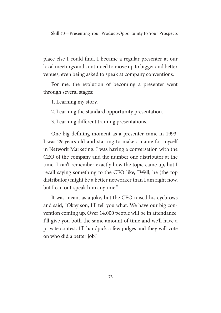Skill #3—Presenting Your Product/Opportunity to Your Prospects

place else I could find. I became a regular presenter at our local meetings and continued to move up to bigger and better venues, even being asked to speak at company conventions.

For me, the evolution of becoming a presenter went through several stages:

1. Learning my story.

2. Learning the standard opportunity presentation.

3. Learning different training presentations.

One big defining moment as a presenter came in 1993. I was 29 years old and starting to make a name for myself in Network Marketing. I was having a conversation with the CEO of the company and the number one distributor at the time. I can't remember exactly how the topic came up, but I recall saying something to the CEO like, "Well, he (the top distributor) might be a better networker than I am right now, but I can out-speak him anytime."

It was meant as a joke, but the CEO raised his eyebrows and said, "Okay son, I'll tell you what. We have our big convention coming up. Over 14,000 people will be in attendance. I'll give you both the same amount of time and we'll have a private contest. I'll handpick a few judges and they will vote on who did a better job."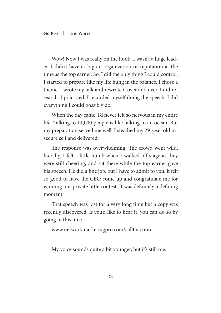Wow! Now I was really on the hook! I wasn't a huge leader. I didn't have as big an organization or reputation at the time as the top earner. So, I did the only thing I could control. I started to prepare like my life hung in the balance. I chose a theme. I wrote my talk and rewrote it over and over. I did research. I practiced. I recorded myself doing the speech. I did everything I could possibly do.

When the day came, I'd never felt so nervous in my entire life. Talking to 14,000 people is like talking to an ocean. But my preparation served me well. I steadied my 29-year-old insecure self and delivered.

The response was overwhelming! The crowd went wild, literally. I felt a little numb when I walked off stage as they were still cheering, and sat there while the top earner gave his speech. He did a fine job, but I have to admit to you, it felt so good to have the CEO come up and congratulate me for winning our private little contest. It was definitely a defining moment.

That speech was lost for a very long time but a copy was recently discovered. If you'd like to hear it, you can do so by going to this link:

www.networkmarketingpro.com/calltoaction

My voice sounds quite a bit younger, but it's still me.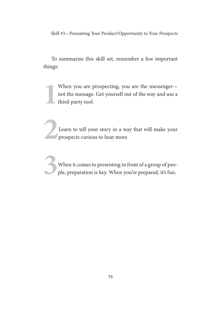Skill #3—Presenting Your Product/Opportunity to Your Prospects

To summarize this skill set, remember a few important things:

**1** When you are prospecting, you are the messenger not the message. Get yourself out of the way and use a third-party tool.

**2**Learn to tell your story in a way that will make your prospects curious to hear more.

**3**When it comes to presenting in front of a group of people, preparation is key. When you're prepared, it's fun.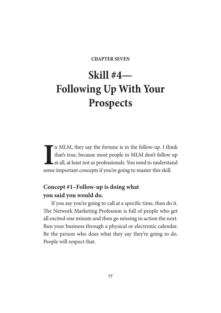#### **CHAPTER SEVEN**

# **Skill #4— Following Up With Your Prospects**

In MLM, they say the fortune is in the follow-up. I this that's true, because most people in MLM don't follow at all, at least not as professionals. You need to understa some important concepts if you're going to master th n MLM, they say the fortune is in the follow-up. I think that's true, because most people in MLM don't follow up at all, at least not as professionals. You need to understand

# **Concept #1–Follow-up is doing what you said you would do.**

If you say you're going to call at a specific time, then do it. The Network Marketing Profession is full of people who get all excited one minute and then go missing in action the next. Run your business through a physical or electronic calendar. Be the person who does what they say they're going to do. People will respect that.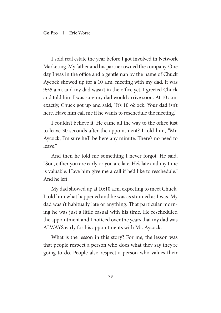I sold real estate the year before I got involved in Network Marketing. My father and his partner owned the company. One day I was in the office and a gentleman by the name of Chuck Aycock showed up for a 10 a.m. meeting with my dad. It was 9:55 a.m. and my dad wasn't in the office yet. I greeted Chuck and told him I was sure my dad would arrive soon. At 10 a.m. exactly, Chuck got up and said, "It's 10 o'clock. Your dad isn't here. Have him call me if he wants to reschedule the meeting."

I couldn't believe it. He came all the way to the office just to leave 30 seconds after the appointment? I told him, "Mr. Aycock, I'm sure he'll be here any minute. There's no need to leave."

And then he told me something I never forgot. He said, "Son, either you are early or you are late. He's late and my time is valuable. Have him give me a call if he'd like to reschedule." And he left!

My dad showed up at 10:10 a.m. expecting to meet Chuck. I told him what happened and he was as stunned as I was. My dad wasn't habitually late or anything. That particular morning he was just a little casual with his time. He rescheduled the appointment and I noticed over the years that my dad was ALWAYS early for his appointments with Mr. Aycock.

What is the lesson in this story? For me, the lesson was that people respect a person who does what they say they're going to do. People also respect a person who values their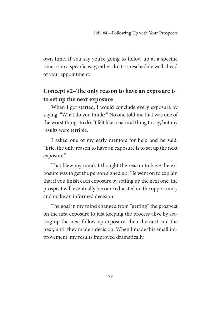own time. If you say you're going to follow up at a specific time or in a specific way, either do it or reschedule well ahead of your appointment.

# **Concept #2–The only reason to have an exposure is to set up the next exposure**

When I got started, I would conclude every exposure by saying, "What do you think?" No one told me that was one of the worst things to do. It felt like a natural thing to say, but my results were terrible.

I asked one of my early mentors for help and he said, "Eric, the only reason to have an exposure is to set up the next exposure."

That blew my mind. I thought the reason to have the exposure was to get the person signed up! He went on to explain that if you finish each exposure by setting up the next one, the prospect will eventually become educated on the opportunity and make an informed decision.

The goal in my mind changed from "getting" the prospect on the first exposure to just keeping the process alive by setting up the next follow-up exposure, then the next and the next, until they made a decision. When I made this small improvement, my results improved dramatically.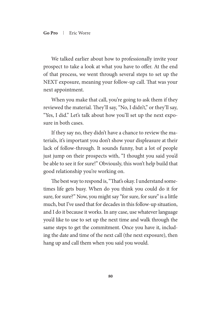We talked earlier about how to professionally invite your prospect to take a look at what you have to offer. At the end of that process, we went through several steps to set up the NEXT exposure, meaning your follow-up call. That was your next appointment.

When you make that call, you're going to ask them if they reviewed the material. They'll say, "No, I didn't," or they'll say, "Yes, I did." Let's talk about how you'll set up the next exposure in both cases.

If they say no, they didn't have a chance to review the materials, it's important you don't show your displeasure at their lack of follow-through. It sounds funny, but a lot of people just jump on their prospects with, "I thought you said you'd be able to see it for sure!" Obviously, this won't help build that good relationship you're working on.

The best way to respond is, "That's okay. I understand sometimes life gets busy. When do you think you could do it for sure, for sure?" Now, you might say "for sure, for sure" is a little much, but I've used that for decades in this follow-up situation, and I do it because it works. In any case, use whatever language you'd like to use to set up the next time and walk through the same steps to get the commitment. Once you have it, including the date and time of the next call (the next exposure), then hang up and call them when you said you would.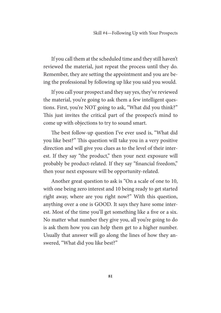If you call them at the scheduled time and they still haven't reviewed the material, just repeat the process until they do. Remember, they are setting the appointment and you are being the professional by following up like you said you would.

If you call your prospect and they say yes, they've reviewed the material, you're going to ask them a few intelligent questions. First, you're NOT going to ask, "What did you think?" This just invites the critical part of the prospect's mind to come up with objections to try to sound smart.

The best follow-up question I've ever used is, "What did you like best?" This question will take you in a very positive direction and will give you clues as to the level of their interest. If they say "the product," then your next exposure will probably be product-related. If they say "financial freedom," then your next exposure will be opportunity-related.

Another great question to ask is "On a scale of one to 10, with one being zero interest and 10 being ready to get started right away, where are you right now?" With this question, anything over a one is GOOD. It says they have some interest. Most of the time you'll get something like a five or a six. No matter what number they give you, all you're going to do is ask them how you can help them get to a higher number. Usually that answer will go along the lines of how they answered, "What did you like best?"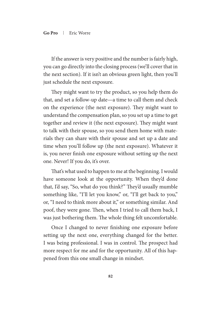If the answer is very positive and the number is fairly high, you can go directly into the closing process (we'll cover that in the next section). If it isn't an obvious green light, then you'll just schedule the next exposure.

They might want to try the product, so you help them do that, and set a follow-up date—a time to call them and check on the experience (the next exposure). They might want to understand the compensation plan, so you set up a time to get together and review it (the next exposure). They might want to talk with their spouse, so you send them home with materials they can share with their spouse and set up a date and time when you'll follow up (the next exposure). Whatever it is, you never finish one exposure without setting up the next one. Never! If you do, it's over.

That's what used to happen to me at the beginning. I would have someone look at the opportunity. When they'd done that, I'd say, "So, what do you think?" They'd usually mumble something like, "I'll let you know," or, "I'll get back to you," or, "I need to think more about it," or something similar. And poof, they were gone. Then, when I tried to call them back, I was just bothering them. The whole thing felt uncomfortable.

Once I changed to never finishing one exposure before setting up the next one, everything changed for the better. I was being professional. I was in control. The prospect had more respect for me and for the opportunity. All of this happened from this one small change in mindset.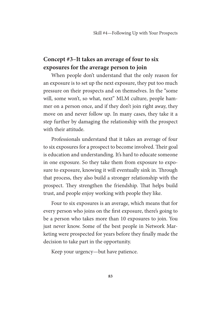# **Concept #3–It takes an average of four to six exposures for the average person to join**

When people don't understand that the only reason for an exposure is to set up the next exposure, they put too much pressure on their prospects and on themselves. In the "some will, some won't, so what, next" MLM culture, people hammer on a person once, and if they don't join right away, they move on and never follow up. In many cases, they take it a step further by damaging the relationship with the prospect with their attitude.

Professionals understand that it takes an average of four to six exposures for a prospect to become involved. Their goal is education and understanding. It's hard to educate someone in one exposure. So they take them from exposure to exposure to exposure, knowing it will eventually sink in. Through that process, they also build a stronger relationship with the prospect. They strengthen the friendship. That helps build trust, and people enjoy working with people they like.

Four to six exposures is an average, which means that for every person who joins on the first exposure, there's going to be a person who takes more than 10 exposures to join. You just never know. Some of the best people in Network Marketing were prospected for years before they finally made the decision to take part in the opportunity.

Keep your urgency—but have patience.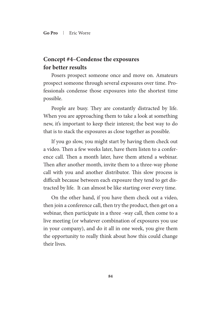## **Concept #4–Condense the exposures for better results**

Posers prospect someone once and move on. Amateurs prospect someone through several exposures over time. Professionals condense those exposures into the shortest time possible.

People are busy. They are constantly distracted by life. When you are approaching them to take a look at something new, it's important to keep their interest; the best way to do that is to stack the exposures as close together as possible.

If you go slow, you might start by having them check out a video. Then a few weeks later, have them listen to a conference call. Then a month later, have them attend a webinar. Then after another month, invite them to a three-way phone call with you and another distributor. This slow process is difficult because between each exposure they tend to get distracted by life. It can almost be like starting over every time.

On the other hand, if you have them check out a video, then join a conference call, then try the product, then get on a webinar, then participate in a three -way call, then come to a live meeting (or whatever combination of exposures you use in your company), and do it all in one week, you give them the opportunity to really think about how this could change their lives.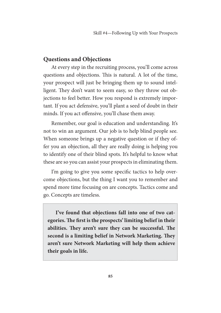## **Questions and Objections**

At every step in the recruiting process, you'll come across questions and objections. This is natural. A lot of the time, your prospect will just be bringing them up to sound intelligent. They don't want to seem easy, so they throw out objections to feel better. How you respond is extremely important. If you act defensive, you'll plant a seed of doubt in their minds. If you act offensive, you'll chase them away.

Remember, our goal is education and understanding. It's not to win an argument. Our job is to help blind people see. When someone brings up a negative question or if they offer you an objection, all they are really doing is helping you to identify one of their blind spots. It's helpful to know what these are so you can assist your prospects in eliminating them.

I'm going to give you some specific tactics to help overcome objections, but the thing I want you to remember and spend more time focusing on are concepts. Tactics come and go. Concepts are timeless.

**I've found that objections fall into one of two categories. The first is the prospects' limiting belief in their abilities. They aren't sure they can be successful. The second is a limiting belief in Network Marketing. They aren't sure Network Marketing will help them achieve their goals in life.**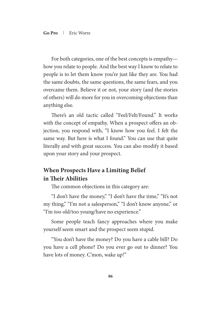For both categories, one of the best concepts is empathy how you relate to people. And the best way I know to relate to people is to let them know you're just like they are. You had the same doubts, the same questions, the same fears, and you overcame them. Believe it or not, your story (and the stories of others) will do more for you in overcoming objections than anything else.

There's an old tactic called "Feel/Felt/Found." It works with the concept of empathy. When a prospect offers an objection, you respond with, "I know how you feel. I felt the same way. But here is what I found." You can use that quite literally and with great success. You can also modify it based upon your story and your prospect.

## **When Prospects Have a Limiting Belief in Their Abilities**

The common objections in this category are:

"I don't have the money," "I don't have the time," "It's not my thing," "I'm not a salesperson," "I don't know anyone," or "I'm too old/too young/have no experience."

Some people teach fancy approaches where you make yourself seem smart and the prospect seem stupid.

"You don't have the money? Do you have a cable bill? Do you have a cell phone? Do you ever go out to dinner? You have lots of money. C'mon, wake up!"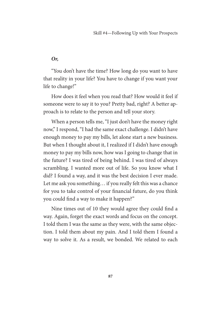### **Or,**

"You don't have the time? How long do you want to have that reality in your life? You have to change if you want your life to change!"

How does it feel when you read that? How would it feel if someone were to say it to you? Pretty bad, right? A better approach is to relate to the person and tell your story.

When a person tells me, "I just don't have the money right now," I respond, "I had the same exact challenge. I didn't have enough money to pay my bills, let alone start a new business. But when I thought about it, I realized if I didn't have enough money to pay my bills now, how was I going to change that in the future? I was tired of being behind. I was tired of always scrambling. I wanted more out of life. So you know what I did? I found a way, and it was the best decision I ever made. Let me ask you something… if you really felt this was a chance for you to take control of your financial future, do you think you could find a way to make it happen?"

Nine times out of 10 they would agree they could find a way. Again, forget the exact words and focus on the concept. I told them I was the same as they were, with the same objection. I told them about my pain. And I told them I found a way to solve it. As a result, we bonded. We related to each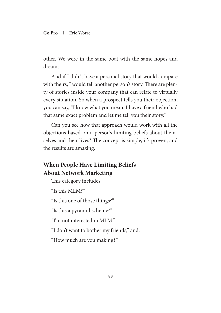**Go Pro** l Eric Worre

other. We were in the same boat with the same hopes and dreams.

And if I didn't have a personal story that would compare with theirs, I would tell another person's story. There are plenty of stories inside your company that can relate to virtually every situation. So when a prospect tells you their objection, you can say, "I know what you mean. I have a friend who had that same exact problem and let me tell you their story."

Can you see how that approach would work with all the objections based on a person's limiting beliefs about themselves and their lives? The concept is simple, it's proven, and the results are amazing.

## **When People Have Limiting Beliefs About Network Marketing**

This category includes:

"Is this MLM?"

"Is this one of those things?"

"Is this a pyramid scheme?"

"I'm not interested in MLM."

"I don't want to bother my friends," and,

"How much are you making?"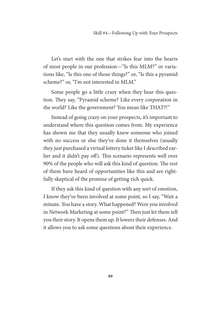Let's start with the one that strikes fear into the hearts of most people in our profession—"Is this MLM?" or variations like, "Is this one of those things?" or, "Is this a pyramid scheme?" or, "I'm not interested in MLM."

Some people go a little crazy when they hear this question. They say, "Pyramid scheme? Like every corporation in the world? Like the government? You mean like THAT?!"

Instead of going crazy on your prospects, it's important to understand where this question comes from. My experience has shown me that they usually knew someone who joined with no success or else they've done it themselves (usually they just purchased a virtual lottery ticket like I described earlier and it didn't pay off). This scenario represents well over 90% of the people who will ask this kind of question. The rest of them have heard of opportunities like this and are rightfully skeptical of the promise of getting rich quick.

If they ask this kind of question with any sort of emotion, I know they've been involved at some point, so I say, "Wait a minute. You have a story. What happened? Were you involved in Network Marketing at some point?" Then just let them tell you their story. It opens them up. It lowers their defenses. And it allows you to ask some questions about their experience.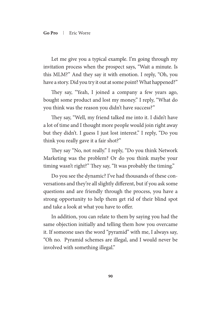Let me give you a typical example. I'm going through my invitation process when the prospect says, "Wait a minute. Is this MLM?" And they say it with emotion. I reply, "Oh, you have a story. Did you try it out at some point? What happened?"

They say, "Yeah, I joined a company a few years ago, bought some product and lost my money." I reply, "What do you think was the reason you didn't have success?"

They say, "Well, my friend talked me into it. I didn't have a lot of time and I thought more people would join right away but they didn't. I guess I just lost interest." I reply, "Do you think you really gave it a fair shot?"

They say "No, not really." I reply, "Do you think Network Marketing was the problem? Or do you think maybe your timing wasn't right?" They say, "It was probably the timing."

Do you see the dynamic? I've had thousands of these conversations and they're all slightly different, but if you ask some questions and are friendly through the process, you have a strong opportunity to help them get rid of their blind spot and take a look at what you have to offer.

In addition, you can relate to them by saying you had the same objection initially and telling them how you overcame it. If someone uses the word "pyramid" with me, I always say, "Oh no. Pyramid schemes are illegal, and I would never be involved with something illegal."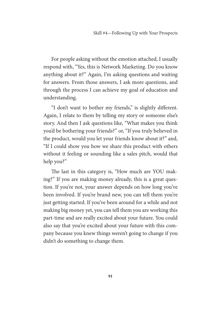For people asking without the emotion attached, I usually respond with, "Yes, this is Network Marketing. Do you know anything about it?" Again, I'm asking questions and waiting for answers. From those answers, I ask more questions, and through the process I can achieve my goal of education and understanding.

"I don't want to bother my friends," is slightly different. Again, I relate to them by telling my story or someone else's story. And then I ask questions like, "What makes you think you'd be bothering your friends?" or, "If you truly believed in the product, would you let your friends know about it?" and, "If I could show you how we share this product with others without it feeling or sounding like a sales pitch, would that help you?"

The last in this category is, "How much are YOU making?" If you are making money already, this is a great question. If you're not, your answer depends on how long you've been involved. If you're brand new, you can tell them you're just getting started. If you've been around for a while and not making big money yet, you can tell them you are working this part-time and are really excited about your future. You could also say that you're excited about your future with this company because you knew things weren't going to change if you didn't do something to change them.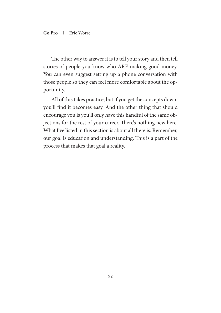The other way to answer it is to tell your story and then tell stories of people you know who ARE making good money. You can even suggest setting up a phone conversation with those people so they can feel more comfortable about the opportunity.

All of this takes practice, but if you get the concepts down, you'll find it becomes easy. And the other thing that should encourage you is you'll only have this handful of the same objections for the rest of your career. There's nothing new here. What I've listed in this section is about all there is. Remember, our goal is education and understanding. This is a part of the process that makes that goal a reality.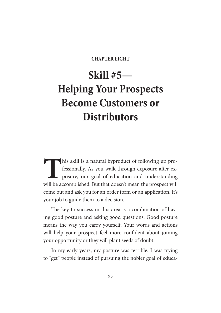#### **CHAPTER EIGHT**

# **Skill #5— Helping Your Prospects Become Customers or Distributors**

This skill is a natural byproduct of following up professionally. As you walk through exposure after exposure, our goal of education and understanding will be accomplished. But that doesn't mean the prospect will fessionally. As you walk through exposure after exposure, our goal of education and understanding will be accomplished. But that doesn't mean the prospect will come out and ask you for an order form or an application. It's your job to guide them to a decision.

The key to success in this area is a combination of having good posture and asking good questions. Good posture means the way you carry yourself. Your words and actions will help your prospect feel more confident about joining your opportunity or they will plant seeds of doubt.

In my early years, my posture was terrible. I was trying to "get" people instead of pursuing the nobler goal of educa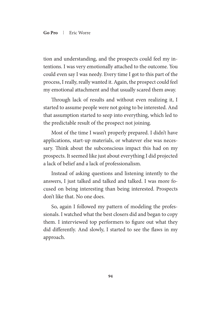tion and understanding, and the prospects could feel my intentions. I was very emotionally attached to the outcome. You could even say I was needy. Every time I got to this part of the process, I really, really wanted it. Again, the prospect could feel my emotional attachment and that usually scared them away.

Through lack of results and without even realizing it, I started to assume people were not going to be interested. And that assumption started to seep into everything, which led to the predictable result of the prospect not joining.

Most of the time I wasn't properly prepared. I didn't have applications, start-up materials, or whatever else was necessary. Think about the subconscious impact this had on my prospects. It seemed like just about everything I did projected a lack of belief and a lack of professionalism.

Instead of asking questions and listening intently to the answers, I just talked and talked and talked. I was more focused on being interesting than being interested. Prospects don't like that. No one does.

So, again I followed my pattern of modeling the professionals. I watched what the best closers did and began to copy them. I interviewed top performers to figure out what they did differently. And slowly, I started to see the flaws in my approach.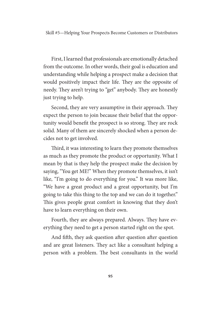Skill #5—Helping Your Prospects Become Customers or Distributors

First, I learned that professionals are emotionally detached from the outcome. In other words, their goal is education and understanding while helping a prospect make a decision that would positively impact their life. They are the opposite of needy. They aren't trying to "get" anybody. They are honestly just trying to help.

Second, they are very assumptive in their approach. They expect the person to join because their belief that the opportunity would benefit the prospect is so strong. They are rock solid. Many of them are sincerely shocked when a person decides not to get involved.

Third, it was interesting to learn they promote themselves as much as they promote the product or opportunity. What I mean by that is they help the prospect make the decision by saying, "You get ME!" When they promote themselves, it isn't like, "I'm going to do everything for you." It was more like, "We have a great product and a great opportunity, but I'm going to take this thing to the top and we can do it together." This gives people great comfort in knowing that they don't have to learn everything on their own.

Fourth, they are always prepared. Always. They have everything they need to get a person started right on the spot.

And fifth, they ask question after question after question and are great listeners. They act like a consultant helping a person with a problem. The best consultants in the world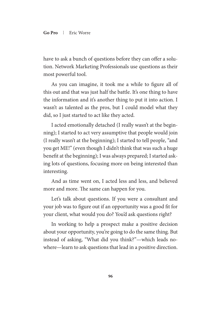have to ask a bunch of questions before they can offer a solution. Network Marketing Professionals use questions as their most powerful tool.

As you can imagine, it took me a while to figure all of this out and that was just half the battle. It's one thing to have the information and it's another thing to put it into action. I wasn't as talented as the pros, but I could model what they did, so I just started to act like they acted.

I acted emotionally detached (I really wasn't at the beginning); I started to act very assumptive that people would join (I really wasn't at the beginning); I started to tell people, "and you get ME!" (even though I didn't think that was such a huge benefit at the beginning); I was always prepared; I started asking lots of questions, focusing more on being interested than interesting.

And as time went on, I acted less and less, and believed more and more. The same can happen for you.

Let's talk about questions. If you were a consultant and your job was to figure out if an opportunity was a good fit for your client, what would you do? You'd ask questions right?

In working to help a prospect make a positive decision about your opportunity, you're going to do the same thing. But instead of asking, "What did you think?"—which leads nowhere—learn to ask questions that lead in a positive direction.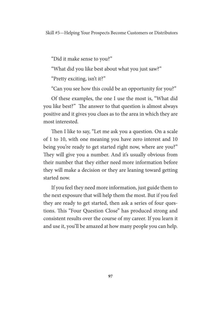Skill #5—Helping Your Prospects Become Customers or Distributors

"Did it make sense to you?"

"What did you like best about what you just saw?"

"Pretty exciting, isn't it?"

"Can you see how this could be an opportunity for you?"

Of these examples, the one I use the most is, "What did you like best?" The answer to that question is almost always positive and it gives you clues as to the area in which they are most interested.

Then I like to say, "Let me ask you a question. On a scale of 1 to 10, with one meaning you have zero interest and 10 being you're ready to get started right now, where are you?" They will give you a number. And it's usually obvious from their number that they either need more information before they will make a decision or they are leaning toward getting started now.

If you feel they need more information, just guide them to the next exposure that will help them the most. But if you feel they are ready to get started, then ask a series of four questions. This "Four Question Close" has produced strong and consistent results over the course of my career. If you learn it and use it, you'll be amazed at how many people you can help.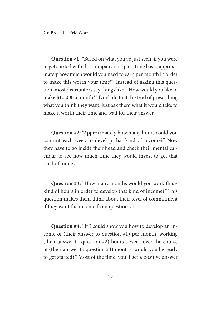**Question #1:** "Based on what you've just seen, if you were to get started with this company on a part-time basis, approximately how much would you need to earn per month in order to make this worth your time?" Instead of asking this question, most distributors say things like, "How would you like to make \$10,000 a month?" Don't do that. Instead of prescribing what you think they want, just ask them what it would take to make it worth their time and wait for their answer.

**Question #2:** "Approximately how many hours could you commit each week to develop that kind of income?" Now they have to go inside their head and check their mental calendar to see how much time they would invest to get that kind of money.

**Question #3:** "How many months would you work those kind of hours in order to develop that kind of income?" This question makes them think about their level of commitment if they want the income from question #1.

**Question #4:** "If I could show you how to develop an income of (their answer to question #1) per month, working (their answer to question #2) hours a week over the course of (their answer to question #3) months, would you be ready to get started?" Most of the time, you'll get a positive answer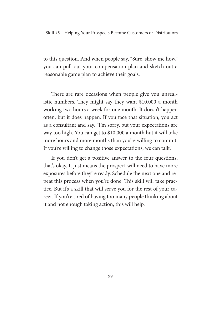Skill #5—Helping Your Prospects Become Customers or Distributors

to this question. And when people say, "Sure, show me how," you can pull out your compensation plan and sketch out a reasonable game plan to achieve their goals.

There are rare occasions when people give you unrealistic numbers. They might say they want \$10,000 a month working two hours a week for one month. It doesn't happen often, but it does happen. If you face that situation, you act as a consultant and say, "I'm sorry, but your expectations are way too high. You can get to \$10,000 a month but it will take more hours and more months than you're willing to commit. If you're willing to change those expectations, we can talk."

If you don't get a positive answer to the four questions, that's okay. It just means the prospect will need to have more exposures before they're ready. Schedule the next one and repeat this process when you're done. This skill will take practice. But it's a skill that will serve you for the rest of your career. If you're tired of having too many people thinking about it and not enough taking action, this will help.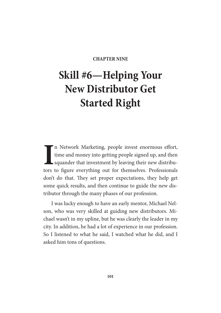#### **CHAPTER NINE**

# **Skill #6—Helping Your New Distributor Get Started Right**

In Network Marketing, people invest enormous effort, time and money into getting people signed up, and then squander that investment by leaving their new distributors to figure everything out for themselves. Professionals n Network Marketing, people invest enormous effort, time and money into getting people signed up, and then squander that investment by leaving their new distribudon't do that. They set proper expectations, they help get some quick results, and then continue to guide the new distributor through the many phases of our profession.

I was lucky enough to have an early mentor, Michael Nelson, who was very skilled at guiding new distributors. Michael wasn't in my upline, but he was clearly the leader in my city. In addition, he had a lot of experience in our profession. So I listened to what he said, I watched what he did, and I asked him tons of questions.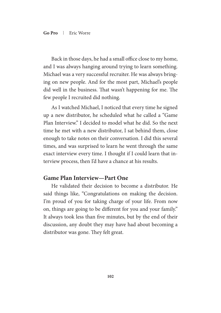Back in those days, he had a small office close to my home, and I was always hanging around trying to learn something. Michael was a very successful recruiter. He was always bringing on new people. And for the most part, Michael's people did well in the business. That wasn't happening for me. The few people I recruited did nothing.

As I watched Michael, I noticed that every time he signed up a new distributor, he scheduled what he called a "Game Plan Interview." I decided to model what he did. So the next time he met with a new distributor, I sat behind them, close enough to take notes on their conversation. I did this several times, and was surprised to learn he went through the same exact interview every time. I thought if I could learn that interview process, then I'd have a chance at his results.

## **Game Plan Interview—Part One**

He validated their decision to become a distributor. He said things like, "Congratulations on making the decision. I'm proud of you for taking charge of your life. From now on, things are going to be different for you and your family." It always took less than five minutes, but by the end of their discussion, any doubt they may have had about becoming a distributor was gone. They felt great.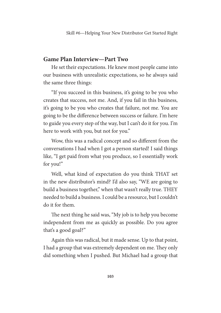## **Game Plan Interview—Part Two**

He set their expectations. He knew most people came into our business with unrealistic expectations, so he always said the same three things:

"If you succeed in this business, it's going to be you who creates that success, not me. And, if you fail in this business, it's going to be you who creates that failure, not me. You are going to be the difference between success or failure. I'm here to guide you every step of the way, but I can't do it for you. I'm here to work with you, but not for you."

Wow, this was a radical concept and so different from the conversations I had when I got a person started! I said things like, "I get paid from what you produce, so I essentially work for you!"

Well, what kind of expectation do you think THAT set in the new distributor's mind? I'd also say, "WE are going to build a business together," when that wasn't really true. THEY needed to build a business. I could be a resource, but I couldn't do it for them.

The next thing he said was, "My job is to help you become independent from me as quickly as possible. Do you agree that's a good goal?"

Again this was radical, but it made sense. Up to that point, I had a group that was extremely dependent on me. They only did something when I pushed. But Michael had a group that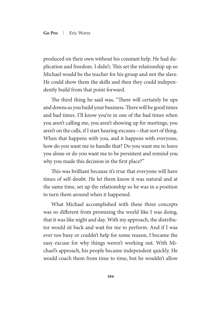produced on their own without his constant help. He had duplication and freedom. I didn't. This set the relationship up so Michael would be the teacher for his group and not the slave. He could show them the skills and then they could independently build from that point forward.

The third thing he said was, "There will certainly be ups and downs as you build your business. There will be good times and bad times. I'll know you're in one of the bad times when you aren't calling me, you aren't showing up for meetings, you aren't on the calls, if I start hearing excuses—that sort of thing. When that happens with you, and it happens with everyone, how do you want me to handle that? Do you want me to leave you alone or do you want me to be persistent and remind you why you made this decision in the first place?"

This was brilliant because it's true that everyone will have times of self-doubt. He let them know it was natural and at the same time, set up the relationship so he was in a position to turn them around when it happened.

What Michael accomplished with these three concepts was so different from promising the world like I was doing, that it was like night and day. With my approach, the distributor would sit back and wait for me to perform. And if I was ever too busy or couldn't help for some reason, I became the easy excuse for why things weren't working out. With Michael's approach, his people became independent quickly. He would coach them from time to time, but he wouldn't allow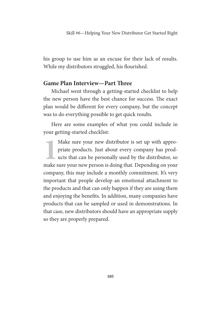his group to use him as an excuse for their lack of results. While my distributors struggled, his flourished.

### **Game Plan Interview—Part Three**

Michael went through a getting-started checklist to help the new person have the best chance for success. The exact plan would be different for every company, but the concept was to do everything possible to get quick results.

Here are some examples of what you could include in your getting-started checklist:

Make sure your new distributor is set up with appropriate products. Just about every company has products that can be personally used by the distributor, so make sure your new person is doing that. Depending on your Make sure your new distributor is set up with appropriate products. Just about every company has products that can be personally used by the distributor, so company, this may include a monthly commitment. It's very important that people develop an emotional attachment to the products and that can only happen if they are using them and enjoying the benefits. In addition, many companies have products that can be sampled or used in demonstrations. In that case, new distributors should have an appropriate supply so they are properly prepared.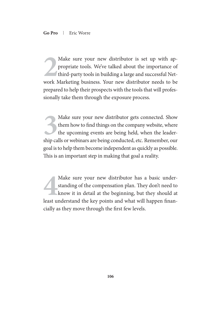Make sure your new distributor is set up with appropriate tools. We've talked about the importance of third-party tools in building a large and successful Network Marketing business. Your new distributor needs to be Make sure your new distributor is set up with appropriate tools. We've talked about the importance of third-party tools in building a large and successful Netprepared to help their prospects with the tools that will professionally take them through the exposure process.

Make sure your new distributor gets connected. Show them how to find things on the company website, where the upcoming events are being held, when the leadership calls or webinars are being conducted, etc. Remember, our Make sure your new distributor gets connected. Show them how to find things on the company website, where the upcoming events are being held, when the leadergoal is to help them become independent as quickly as possible. This is an important step in making that goal a reality.

Make sure your new distributor has a basic under-<br>standing of the compensation plan. They don't need to<br>know it in detail at the beginning, but they should at<br>least understand the key points and what will happen finan-Make sure your new distributor has a basic understanding of the compensation plan. They don't need to know it in detail at the beginning, but they should at cially as they move through the first few levels.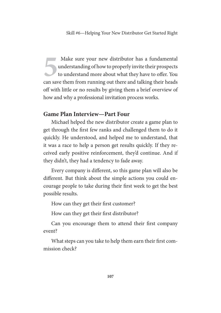Skill #6—Helping Your New Distributor Get Started Right

Make sure your new distributor has a fundamental understanding of how to properly invite their prospects to understand more about what they have to offer. You can save them from running out there and talking their heads Make sure your new distributor has a fundamental understanding of how to properly invite their prospects to understand more about what they have to offer. You off with little or no results by giving them a brief overview of how and why a professional invitation process works.

## **Game Plan Interview—Part Four**

Michael helped the new distributor create a game plan to get through the first few ranks and challenged them to do it quickly. He understood, and helped me to understand, that it was a race to help a person get results quickly. If they received early positive reinforcement, they'd continue. And if they didn't, they had a tendency to fade away.

Every company is different, so this game plan will also be different. But think about the simple actions you could encourage people to take during their first week to get the best possible results.

How can they get their first customer?

How can they get their first distributor?

Can you encourage them to attend their first company event?

What steps can you take to help them earn their first commission check?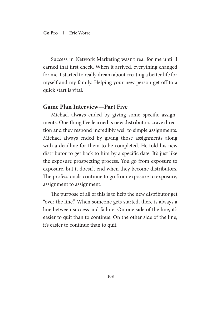Success in Network Marketing wasn't real for me until I earned that first check. When it arrived, everything changed for me. I started to really dream about creating a better life for myself and my family. Helping your new person get off to a quick start is vital.

## **Game Plan Interview—Part Five**

Michael always ended by giving some specific assignments. One thing I've learned is new distributors crave direction and they respond incredibly well to simple assignments. Michael always ended by giving those assignments along with a deadline for them to be completed. He told his new distributor to get back to him by a specific date. It's just like the exposure prospecting process. You go from exposure to exposure, but it doesn't end when they become distributors. The professionals continue to go from exposure to exposure, assignment to assignment.

The purpose of all of this is to help the new distributor get "over the line." When someone gets started, there is always a line between success and failure. On one side of the line, it's easier to quit than to continue. On the other side of the line, it's easier to continue than to quit.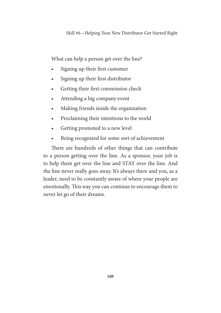Skill #6—Helping Your New Distributor Get Started Right

What can help a person get over the line?

- Signing up their first customer
- Signing up their first distributor
- Getting their first commission check
- Attending a big company event
- Making friends inside the organization
- Proclaiming their intentions to the world
- Getting promoted to a new level
- Being recognized for some sort of achievement

There are hundreds of other things that can contribute to a person getting over the line. As a sponsor, your job is to help them get over the line and STAY over the line. And the line never really goes away. It's always there and you, as a leader, need to be constantly aware of where your people are emotionally. This way you can continue to encourage them to never let go of their dreams.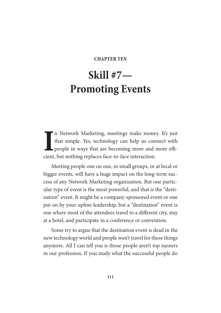### **CHAPTER TEN**

# **Skill #7— Promoting Events**

**I** n Network Marketing, meetings make money. It's just that simple. Yes, technology can help us connect with people in ways that are becoming more and more efficient, but nothing replaces face-to-face interaction.

Meeting people one on one, in small groups, or at local or bigger events, will have a huge impact on the long-term success of any Network Marketing organization. But one particular type of event is the most powerful, and that is the "destination" event. It might be a company-sponsored event or one put on by your upline leadership, but a "destination" event is one where most of the attendees travel to a different city, stay at a hotel, and participate in a conference or convention.

Some try to argue that the destination event is dead in the new technology world and people won't travel for these things anymore. All I can tell you is those people aren't top earners in our profession. If you study what the successful people do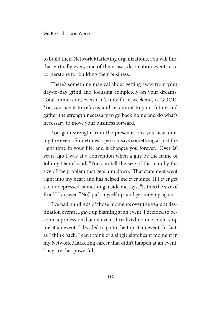to build their Network Marketing organizations, you will find that virtually every one of them uses destination events as a cornerstone for building their business.

There's something magical about getting away from your day-to-day grind and focusing completely on your dreams. Total immersion, even if it's only for a weekend, is GOOD. You can use it to refocus and recommit to your future and gather the strength necessary to go back home and do what's necessary to move your business forward.

You gain strength from the presentations you hear during the event. Sometimes a person says something at just the right time in your life, and it changes you forever. Over 20 years ago I was at a convention when a guy by the name of Johnny Daniel said, "You can tell the size of the man by the size of the problem that gets him down." That statement went right into my heart and has helped me ever since. If I ever get sad or depressed, something inside me says, "Is this the size of Eric?" I answer, "No," pick myself up, and get moving again.

I've had hundreds of those moments over the years at destination events. I gave up blaming at an event. I decided to become a professional at an event. I realized no one could stop me at an event. I decided to go to the top at an event. In fact, as I think back, I can't think of a single significant moment in my Network Marketing career that didn't happen at an event. They are that powerful.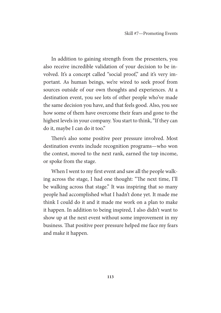In addition to gaining strength from the presenters, you also receive incredible validation of your decision to be involved. It's a concept called "social proof," and it's very important. As human beings, we're wired to seek proof from sources outside of our own thoughts and experiences. At a destination event, you see lots of other people who've made the same decision you have, and that feels good. Also, you see how some of them have overcome their fears and gone to the highest levels in your company. You start to think, "If they can do it, maybe I can do it too."

There's also some positive peer pressure involved. Most destination events include recognition programs—who won the contest, moved to the next rank, earned the top income, or spoke from the stage.

When I went to my first event and saw all the people walking across the stage, I had one thought: "The next time, I'll be walking across that stage." It was inspiring that so many people had accomplished what I hadn't done yet. It made me think I could do it and it made me work on a plan to make it happen. In addition to being inspired, I also didn't want to show up at the next event without some improvement in my business. That positive peer pressure helped me face my fears and make it happen.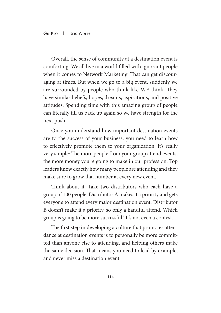Overall, the sense of community at a destination event is comforting. We all live in a world filled with ignorant people when it comes to Network Marketing. That can get discouraging at times. But when we go to a big event, suddenly we are surrounded by people who think like WE think. They have similar beliefs, hopes, dreams, aspirations, and positive attitudes. Spending time with this amazing group of people can literally fill us back up again so we have strength for the next push.

Once you understand how important destination events are to the success of your business, you need to learn how to effectively promote them to your organization. It's really very simple: The more people from your group attend events, the more money you're going to make in our profession. Top leaders know exactly how many people are attending and they make sure to grow that number at every new event.

Think about it. Take two distributors who each have a group of 100 people. Distributor A makes it a priority and gets everyone to attend every major destination event. Distributor B doesn't make it a priority, so only a handful attend. Which group is going to be more successful? It's not even a contest.

The first step in developing a culture that promotes attendance at destination events is to personally be more committed than anyone else to attending, and helping others make the same decision. That means you need to lead by example, and never miss a destination event.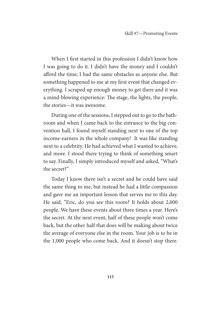When I first started in this profession I didn't know how I was going to do it. I didn't have the money and I couldn't afford the time; I had the same obstacles as anyone else. But something happened to me at my first event that changed everything. I scraped up enough money to get there and it was a mind-blowing experience: The stage, the lights, the people, the stories—it was awesome.

During one of the sessions, I stepped out to go to the bathroom and when I came back to the entrance to the big convention hall, I found myself standing next to one of the top income-earners in the whole company! It was like standing next to a celebrity. He had achieved what I wanted to achieve, and more. I stood there trying to think of something smart to say. Finally, I simply introduced myself and asked, "What's the secret?"

Today I know there isn't a secret and he could have said the same thing to me, but instead he had a little compassion and gave me an important lesson that serves me to this day. He said, "Eric, do you see this room? It holds about 2,000 people. We have these events about three times a year. Here's the secret. At the next event, half of these people won't come back, but the other half that does will be making about twice the average of everyone else in the room. Your job is to be in the 1,000 people who come back. And it doesn't stop there.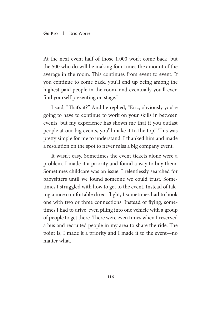At the next event half of those 1,000 won't come back, but the 500 who do will be making four times the amount of the average in the room. This continues from event to event. If you continue to come back, you'll end up being among the highest paid people in the room, and eventually you'll even find yourself presenting on stage."

I said, "That's it?" And he replied, "Eric, obviously you're going to have to continue to work on your skills in between events, but my experience has shown me that if you outlast people at our big events, you'll make it to the top." This was pretty simple for me to understand. I thanked him and made a resolution on the spot to never miss a big company event.

It wasn't easy. Sometimes the event tickets alone were a problem. I made it a priority and found a way to buy them. Sometimes childcare was an issue. I relentlessly searched for babysitters until we found someone we could trust. Sometimes I struggled with how to get to the event. Instead of taking a nice comfortable direct flight, I sometimes had to book one with two or three connections. Instead of flying, sometimes I had to drive, even piling into one vehicle with a group of people to get there. There were even times when I reserved a bus and recruited people in my area to share the ride. The point is, I made it a priority and I made it to the event—no matter what.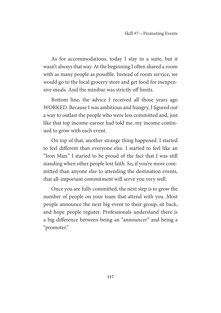As for accommodations, today I stay in a suite, but it wasn't always that way. At the beginning I often shared a room with as many people as possible. Instead of room service, we would go to the local grocery store and get food for inexpensive meals. And the minibar was strictly off limits.

Bottom line, the advice I received all those years ago WORKED. Because I was ambitious and hungry, I figured out a way to outlast the people who were less committed and, just like that top income-earner had told me, my income continued to grow with each event.

On top of that, another strange thing happened. I started to feel different than everyone else. I started to feel like an "Iron Man." I started to be proud of the fact that I was still standing when other people lost faith. So, if you're more committed than anyone else to attending the destination events, that all-important commitment will serve you very well.

Once you are fully committed, the next step is to grow the number of people on your team that attend with you. Most people announce the next big event to their group, sit back, and hope people register. Professionals understand there is a big difference between being an "announcer" and being a "promoter."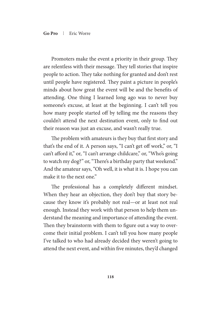Promoters make the event a priority in their group. They are relentless with their message. They tell stories that inspire people to action. They take nothing for granted and don't rest until people have registered. They paint a picture in people's minds about how great the event will be and the benefits of attending. One thing I learned long ago was to never buy someone's excuse, at least at the beginning. I can't tell you how many people started off by telling me the reasons they couldn't attend the next destination event, only to find out their reason was just an excuse, and wasn't really true.

The problem with amateurs is they buy that first story and that's the end of it. A person says, "I can't get off work," or, "I can't afford it," or, "I can't arrange childcare," or, "Who's going to watch my dog?" or, "There's a birthday party that weekend." And the amateur says, "Oh well, it is what it is. I hope you can make it to the next one"

The professional has a completely different mindset. When they hear an objection, they don't buy that story because they know it's probably not real—or at least not real enough. Instead they work with that person to help them understand the meaning and importance of attending the event. Then they brainstorm with them to figure out a way to overcome their initial problem. I can't tell you how many people I've talked to who had already decided they weren't going to attend the next event, and within five minutes, they'd changed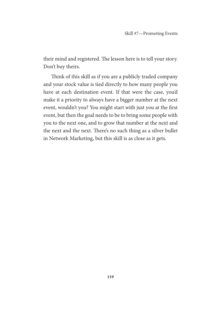their mind and registered. The lesson here is to tell your story. Don't buy theirs.

Think of this skill as if you are a publicly traded company and your stock value is tied directly to how many people you have at each destination event. If that were the case, you'd make it a priority to always have a bigger number at the next event, wouldn't you? You might start with just you at the first event, but then the goal needs to be to bring some people with you to the next one, and to grow that number at the next and the next and the next. There's no such thing as a silver bullet in Network Marketing, but this skill is as close as it gets.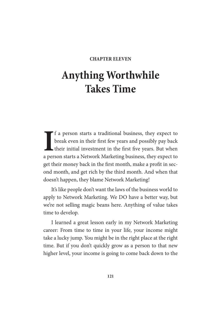### **CHAPTER ELEVEN**

# **Anything Worthwhile Takes Time**

**I** f a person starts a traditional business, they expect to break even in their first few years and possibly pay back their initial investment in the first five years. But when a person starts a Network Marketing business f a person starts a traditional business, they expect to break even in their first few years and possibly pay back their initial investment in the first five years. But when get their money back in the first month, make a profit in second month, and get rich by the third month. And when that doesn't happen, they blame Network Marketing!

It's like people don't want the laws of the business world to apply to Network Marketing. We DO have a better way, but we're not selling magic beans here. Anything of value takes time to develop.

I learned a great lesson early in my Network Marketing career: From time to time in your life, your income might take a lucky jump. You might be in the right place at the right time. But if you don't quickly grow as a person to that new higher level, your income is going to come back down to the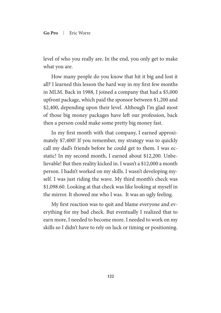level of who you really are. In the end, you only get to make what you are.

How many people do you know that hit it big and lost it all? I learned this lesson the hard way in my first few months in MLM. Back in 1988, I joined a company that had a \$5,000 upfront package, which paid the sponsor between \$1,200 and \$2,400, depending upon their level. Although I'm glad most of those big money packages have left our profession, back then a person could make some pretty big money fast.

In my first month with that company, I earned approximately \$7,400! If you remember, my strategy was to quickly call my dad's friends before he could get to them. I was ecstatic! In my second month, I earned about \$12,200. Unbelievable! But then reality kicked in. I wasn't a \$12,000 a month person. I hadn't worked on my skills. I wasn't developing myself. I was just riding the wave. My third month's check was \$1,098.60. Looking at that check was like looking at myself in the mirror. It showed me who I was. It was an ugly feeling.

My first reaction was to quit and blame everyone and everything for my bad check. But eventually I realized that to earn more, I needed to become more. I needed to work on my skills so I didn't have to rely on luck or timing or positioning.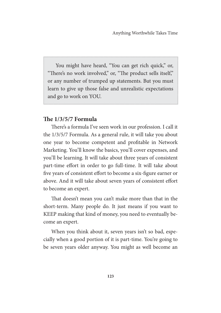You might have heard, "You can get rich quick," or, "There's no work involved," or, "The product sells itself," or any number of trumped up statements. But you must learn to give up those false and unrealistic expectations and go to work on YOU.

### **The 1/3/5/7 Formula**

There's a formula I've seen work in our profession. I call it the 1/3/5/7 Formula. As a general rule, it will take you about one year to become competent and profitable in Network Marketing. You'll know the basics, you'll cover expenses, and you'll be learning. It will take about three years of consistent part-time effort in order to go full-time. It will take about five years of consistent effort to become a six-figure earner or above. And it will take about seven years of consistent effort to become an expert.

That doesn't mean you can't make more than that in the short-term. Many people do. It just means if you want to KEEP making that kind of money, you need to eventually become an expert.

When you think about it, seven years isn't so bad, especially when a good portion of it is part-time. You're going to be seven years older anyway. You might as well become an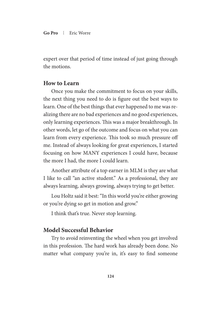expert over that period of time instead of just going through the motions.

### **How to Learn**

Once you make the commitment to focus on your skills, the next thing you need to do is figure out the best ways to learn. One of the best things that ever happened to me was realizing there are no bad experiences and no good experiences, only learning experiences. This was a major breakthrough. In other words, let go of the outcome and focus on what you can learn from every experience. This took so much pressure off me. Instead of always looking for great experiences, I started focusing on how MANY experiences I could have, because the more I had, the more I could learn.

Another attribute of a top earner in MLM is they are what I like to call "an active student." As a professional, they are always learning, always growing, always trying to get better.

Lou Holtz said it best: "In this world you're either growing or you're dying so get in motion and grow."

I think that's true. Never stop learning.

### **Model Successful Behavior**

Try to avoid reinventing the wheel when you get involved in this profession. The hard work has already been done. No matter what company you're in, it's easy to find someone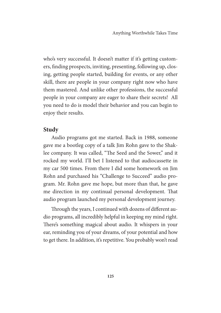who's very successful. It doesn't matter if it's getting customers, finding prospects, inviting, presenting, following up, closing, getting people started, building for events, or any other skill, there are people in your company right now who have them mastered. And unlike other professions, the successful people in your company are eager to share their secrets! All you need to do is model their behavior and you can begin to enjoy their results.

### **Study**

Audio programs got me started. Back in 1988, someone gave me a bootleg copy of a talk Jim Rohn gave to the Shaklee company. It was called, "The Seed and the Sower," and it rocked my world. I'll bet I listened to that audiocassette in my car 500 times. From there I did some homework on Jim Rohn and purchased his "Challenge to Succeed" audio program. Mr. Rohn gave me hope, but more than that, he gave me direction in my continual personal development. That audio program launched my personal development journey.

Through the years, I continued with dozens of different audio programs, all incredibly helpful in keeping my mind right. There's something magical about audio. It whispers in your ear, reminding you of your dreams, of your potential and how to get there. In addition, it's repetitive. You probably won't read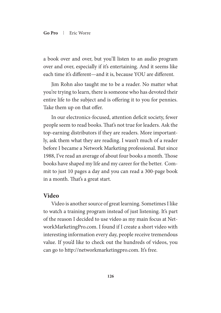a book over and over, but you'll listen to an audio program over and over, especially if it's entertaining. And it seems like each time it's different—and it is, because YOU are different.

Jim Rohn also taught me to be a reader. No matter what you're trying to learn, there is someone who has devoted their entire life to the subject and is offering it to you for pennies. Take them up on that offer.

In our electronics-focused, attention deficit society, fewer people seem to read books. That's not true for leaders. Ask the top-earning distributors if they are readers. More importantly, ask them what they are reading. I wasn't much of a reader before I became a Network Marketing professional. But since 1988, I've read an average of about four books a month. Those books have shaped my life and my career for the better. Commit to just 10 pages a day and you can read a 300-page book in a month. That's a great start.

### **Video**

Video is another source of great learning. Sometimes I like to watch a training program instead of just listening. It's part of the reason I decided to use video as my main focus at NetworkMarketingPro.com. I found if I create a short video with interesting information every day, people receive tremendous value. If you'd like to check out the hundreds of videos, you can go to http://networkmarketingpro.com. It's free.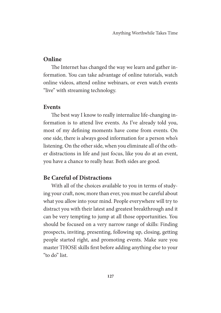### **Online**

The Internet has changed the way we learn and gather information. You can take advantage of online tutorials, watch online videos, attend online webinars, or even watch events "live" with streaming technology.

### **Events**

The best way I know to really internalize life-changing information is to attend live events. As I've already told you, most of my defining moments have come from events. On one side, there is always good information for a person who's listening. On the other side, when you eliminate all of the other distractions in life and just focus, like you do at an event, you have a chance to really hear. Both sides are good.

### **Be Careful of Distractions**

With all of the choices available to you in terms of studying your craft, now, more than ever, you must be careful about what you allow into your mind. People everywhere will try to distract you with their latest and greatest breakthrough and it can be very tempting to jump at all those opportunities. You should be focused on a very narrow range of skills: Finding prospects, inviting, presenting, following up, closing, getting people started right, and promoting events. Make sure you master THOSE skills first before adding anything else to your "to do" list.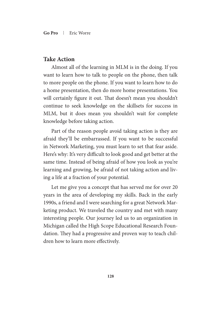**Go Pro** l Eric Worre

### **Take Action**

Almost all of the learning in MLM is in the doing. If you want to learn how to talk to people on the phone, then talk to more people on the phone. If you want to learn how to do a home presentation, then do more home presentations. You will certainly figure it out. That doesn't mean you shouldn't continue to seek knowledge on the skillsets for success in MLM, but it does mean you shouldn't wait for complete knowledge before taking action.

Part of the reason people avoid taking action is they are afraid they'll be embarrassed. If you want to be successful in Network Marketing, you must learn to set that fear aside. Here's why: It's very difficult to look good and get better at the same time. Instead of being afraid of how you look as you're learning and growing, be afraid of not taking action and living a life at a fraction of your potential.

Let me give you a concept that has served me for over 20 years in the area of developing my skills. Back in the early 1990s, a friend and I were searching for a great Network Marketing product. We traveled the country and met with many interesting people. Our journey led us to an organization in Michigan called the High Scope Educational Research Foundation. They had a progressive and proven way to teach children how to learn more effectively.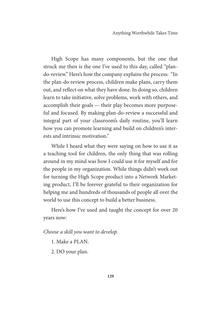Anything Worthwhile Takes Time

High Scope has many components, but the one that struck me then is the one I've used to this day, called "plando-review." Here's how the company explains the process: "In the plan-do review process, children make plans, carry them out, and reflect on what they have done. In doing so, children learn to take initiative, solve problems, work with others, and accomplish their goals — their play becomes more purposeful and focused. By making plan-do-review a successful and integral part of your classroom's daily routine, you'll learn how you can promote learning and build on children's interests and intrinsic motivation."

While I heard what they were saying on how to use it as a teaching tool for children, the only thing that was rolling around in my mind was how I could use it for myself and for the people in my organization. While things didn't work out for turning the High Scope product into a Network Marketing product, I'll be forever grateful to their organization for helping me and hundreds of thousands of people all over the world to use this concept to build a better business.

Here's how I've used and taught the concept for over 20 years now:

Choose a skill you want to develop.

- 1. Make a PLAN.
- 2. DO your plan.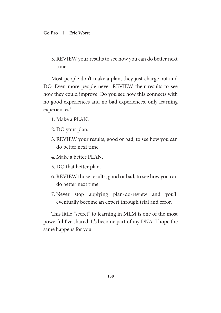3. REVIEW your results to see how you can do better next time.

Most people don't make a plan, they just charge out and DO. Even more people never REVIEW their results to see how they could improve. Do you see how this connects with no good experiences and no bad experiences, only learning experiences?

- 1. Make a PLAN.
- 2. DO your plan.
- 3. REVIEW your results, good or bad, to see how you can do better next time.
- 4. Make a better PLAN.
- 5. DO that better plan.
- 6. REVIEW those results, good or bad, to see how you can do better next time.
- 7. Never stop applying plan-do-review and you'll eventually become an expert through trial and error.

This little "secret" to learning in MLM is one of the most powerful I've shared. It's become part of my DNA. I hope the same happens for you.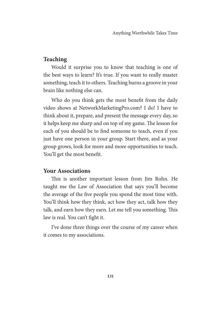### **Teaching**

Would it surprise you to know that teaching is one of the best ways to learn? It's true. If you want to really master something, teach it to others. Teaching burns a groove in your brain like nothing else can.

Who do you think gets the most benefit from the daily video shows at NetworkMarketingPro.com? I do! I have to think about it, prepare, and present the message every day, so it helps keep me sharp and on top of my game. The lesson for each of you should be to find someone to teach, even if you just have one person in your group. Start there, and as your group grows, look for more and more opportunities to teach. You'll get the most benefit.

### **Your Associations**

This is another important lesson from Jim Rohn. He taught me the Law of Association that says you'll become the average of the five people you spend the most time with. You'll think how they think, act how they act, talk how they talk, and earn how they earn. Let me tell you something. This law is real. You can't fight it.

I've done three things over the course of my career when it comes to my associations.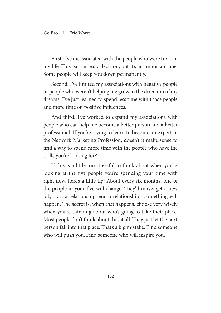First, I've disassociated with the people who were toxic to my life. This isn't an easy decision, but it's an important one. Some people will keep you down permanently.

Second, I've limited my associations with negative people or people who weren't helping me grow in the direction of my dreams. I've just learned to spend less time with those people and more time on positive influences.

And third, I've worked to expand my associations with people who can help me become a better person and a better professional. If you're trying to learn to become an expert in the Network Marketing Profession, doesn't it make sense to find a way to spend more time with the people who have the skills you're looking for?

If this is a little too stressful to think about when you're looking at the five people you're spending your time with right now, here's a little tip: About every six months, one of the people in your five will change. They'll move, get a new job, start a relationship, end a relationship—something will happen. The secret is, when that happens, choose very wisely when you're thinking about who's going to take their place. Most people don't think about this at all. They just let the next person fall into that place. That's a big mistake. Find someone who will push you. Find someone who will inspire you.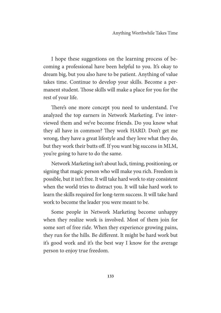I hope these suggestions on the learning process of becoming a professional have been helpful to you. It's okay to dream big, but you also have to be patient. Anything of value takes time. Continue to develop your skills. Become a permanent student. Those skills will make a place for you for the rest of your life.

There's one more concept you need to understand. I've analyzed the top earners in Network Marketing. I've interviewed them and we've become friends. Do you know what they all have in common? They work HARD. Don't get me wrong, they have a great lifestyle and they love what they do, but they work their butts off. If you want big success in MLM, you're going to have to do the same.

Network Marketing isn't about luck, timing, positioning, or signing that magic person who will make you rich. Freedom is possible, but it isn't free. It will take hard work to stay consistent when the world tries to distract you. It will take hard work to learn the skills required for long-term success. It will take hard work to become the leader you were meant to be.

Some people in Network Marketing become unhappy when they realize work is involved. Most of them join for some sort of free ride. When they experience growing pains, they run for the hills. Be different. It might be hard work but it's good work and it's the best way I know for the average person to enjoy true freedom.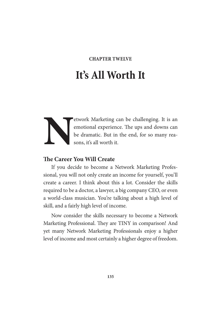#### **CHAPTER TWELVE**

# **It's All Worth It**

etwork Marketing can be challenging. It is an emotional experience. The ups and downs can be dramatic. But in the end, for so many reasons, it's all worth it. emotional experience. The ups and downs can be dramatic. But in the end, for so many reasons, it's all worth it.

### **The Career You Will Create**

If you decide to become a Network Marketing Professional, you will not only create an income for yourself, you'll create a career. I think about this a lot. Consider the skills required to be a doctor, a lawyer, a big company CEO, or even a world-class musician. You're talking about a high level of skill, and a fairly high level of income.

Now consider the skills necessary to become a Network Marketing Professional. They are TINY in comparison! And yet many Network Marketing Professionals enjoy a higher level of income and most certainly a higher degree of freedom.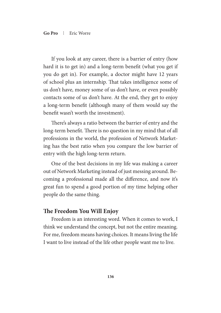If you look at any career, there is a barrier of entry (how hard it is to get in) and a long-term benefit (what you get if you do get in). For example, a doctor might have 12 years of school plus an internship. That takes intelligence some of us don't have, money some of us don't have, or even possibly contacts some of us don't have. At the end, they get to enjoy a long-term benefit (although many of them would say the benefit wasn't worth the investment).

There's always a ratio between the barrier of entry and the long-term benefit. There is no question in my mind that of all professions in the world, the profession of Network Marketing has the best ratio when you compare the low barrier of entry with the high long-term return.

One of the best decisions in my life was making a career out of Network Marketing instead of just messing around. Becoming a professional made all the difference, and now it's great fun to spend a good portion of my time helping other people do the same thing.

### **The Freedom You Will Enjoy**

Freedom is an interesting word. When it comes to work, I think we understand the concept, but not the entire meaning. For me, freedom means having choices. It means living the life I want to live instead of the life other people want me to live.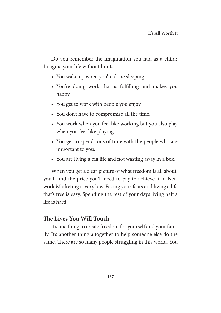Do you remember the imagination you had as a child? Imagine your life without limits.

- You wake up when you're done sleeping.
- You're doing work that is fulfilling and makes you happy.
- You get to work with people you enjoy.
- You don't have to compromise all the time.
- You work when you feel like working but you also play when you feel like playing.
- You get to spend tons of time with the people who are important to you.
- You are living a big life and not wasting away in a box.

When you get a clear picture of what freedom is all about, you'll find the price you'll need to pay to achieve it in Network Marketing is very low. Facing your fears and living a life that's free is easy. Spending the rest of your days living half a life is hard.

### **The Lives You Will Touch**

It's one thing to create freedom for yourself and your family. It's another thing altogether to help someone else do the same. There are so many people struggling in this world. You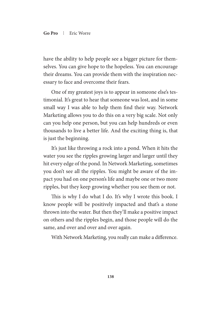have the ability to help people see a bigger picture for themselves. You can give hope to the hopeless. You can encourage their dreams. You can provide them with the inspiration necessary to face and overcome their fears.

One of my greatest joys is to appear in someone else's testimonial. It's great to hear that someone was lost, and in some small way I was able to help them find their way. Network Marketing allows you to do this on a very big scale. Not only can you help one person, but you can help hundreds or even thousands to live a better life. And the exciting thing is, that is just the beginning.

It's just like throwing a rock into a pond. When it hits the water you see the ripples growing larger and larger until they hit every edge of the pond. In Network Marketing, sometimes you don't see all the ripples. You might be aware of the impact you had on one person's life and maybe one or two more ripples, but they keep growing whether you see them or not.

This is why I do what I do. It's why I wrote this book. I know people will be positively impacted and that's a stone thrown into the water. But then they'll make a positive impact on others and the ripples begin, and those people will do the same, and over and over and over again.

With Network Marketing, you really can make a difference.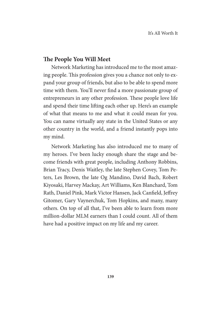### **The People You Will Meet**

Network Marketing has introduced me to the most amazing people. This profession gives you a chance not only to expand your group of friends, but also to be able to spend more time with them. You'll never find a more passionate group of entrepreneurs in any other profession. These people love life and spend their time lifting each other up. Here's an example of what that means to me and what it could mean for you. You can name virtually any state in the United States or any other country in the world, and a friend instantly pops into my mind.

Network Marketing has also introduced me to many of my heroes. I've been lucky enough share the stage and become friends with great people, including Anthony Robbins, Brian Tracy, Denis Waitley, the late Stephen Covey, Tom Peters, Les Brown, the late Og Mandino, David Bach, Robert Kiyosaki, Harvey Mackay, Art Williams, Ken Blanchard, Tom Rath, Daniel Pink, Mark Victor Hansen, Jack Canfield, Jeffrey Gitomer, Gary Vaynerchuk, Tom Hopkins, and many, many others. On top of all that, I've been able to learn from more million-dollar MLM earners than I could count. All of them have had a positive impact on my life and my career.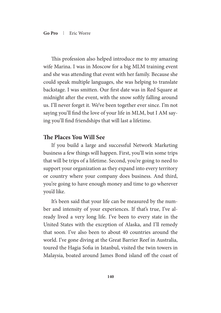This profession also helped introduce me to my amazing wife Marina. I was in Moscow for a big MLM training event and she was attending that event with her family. Because she could speak multiple languages, she was helping to translate backstage. I was smitten. Our first date was in Red Square at midnight after the event, with the snow softly falling around us. I'll never forget it. We've been together ever since. I'm not saying you'll find the love of your life in MLM, but I AM saying you'll find friendships that will last a lifetime.

### **The Places You Will See**

If you build a large and successful Network Marketing business a few things will happen. First, you'll win some trips that will be trips of a lifetime. Second, you're going to need to support your organization as they expand into every territory or country where your company does business. And third, you're going to have enough money and time to go wherever you'd like.

It's been said that your life can be measured by the number and intensity of your experiences. If that's true, I've already lived a very long life. I've been to every state in the United States with the exception of Alaska, and I'll remedy that soon. I've also been to about 40 countries around the world. I've gone diving at the Great Barrier Reef in Australia, toured the Hagia Sofia in Istanbul, visited the twin towers in Malaysia, boated around James Bond island off the coast of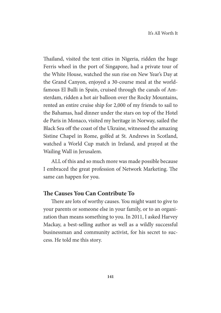Thailand, visited the tent cities in Nigeria, ridden the huge Ferris wheel in the port of Singapore, had a private tour of the White House, watched the sun rise on New Year's Day at the Grand Canyon, enjoyed a 30-course meal at the worldfamous El Bulli in Spain, cruised through the canals of Amsterdam, ridden a hot air balloon over the Rocky Mountains, rented an entire cruise ship for 2,000 of my friends to sail to the Bahamas, had dinner under the stars on top of the Hotel de Paris in Monaco, visited my heritage in Norway, sailed the Black Sea off the coast of the Ukraine, witnessed the amazing Sistine Chapel in Rome, golfed at St. Andrews in Scotland, watched a World Cup match in Ireland, and prayed at the Wailing Wall in Jerusalem.

ALL of this and so much more was made possible because I embraced the great profession of Network Marketing. The same can happen for you.

### **The Causes You Can Contribute To**

There are lots of worthy causes. You might want to give to your parents or someone else in your family, or to an organization than means something to you. In 2011, I asked Harvey Mackay, a best-selling author as well as a wildly successful businessman and community activist, for his secret to success. He told me this story.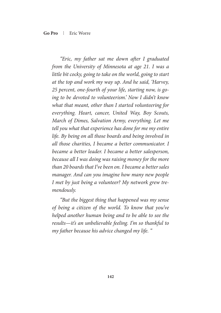"Eric, my father sat me down after I graduated from the University of Minnesota at age 21. I was a little bit cocky, going to take on the world, going to start at the top and work my way up. And he said, 'Harvey, 25 percent, one-fourth of your life, starting now, is going to be devoted to volunteerism.' Now I didn't know what that meant, other than I started volunteering for everything. Heart, cancer, United Way, Boy Scouts, March of Dimes, Salvation Army, everything. Let me tell you what that experience has done for me my entire life. By being on all those boards and being involved in all those charities, I became a better communicator. I became a better leader. I became a better salesperson, because all I was doing was raising money for the more than 20 boards that I've been on. I became a better sales manager. And can you imagine how many new people I met by just being a volunteer? My network grew tremendously.

"But the biggest thing that happened was my sense of being a citizen of the world. To know that you've helped another human being and to be able to see the results—it's an unbelievable feeling. I'm so thankful to my father because his advice changed my life. "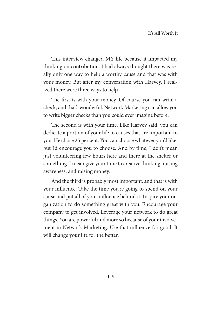This interview changed MY life because it impacted my thinking on contribution. I had always thought there was really only one way to help a worthy cause and that was with your money. But after my conversation with Harvey, I realized there were three ways to help.

The first is with your money. Of course you can write a check, and that's wonderful. Network Marketing can allow you to write bigger checks than you could ever imagine before.

The second is with your time. Like Harvey said, you can dedicate a portion of your life to causes that are important to you. He chose 25 percent. You can choose whatever you'd like, but I'd encourage you to choose. And by time, I don't mean just volunteering few hours here and there at the shelter or something. I mean give your time to creative thinking, raising awareness, and raising money.

And the third is probably most important, and that is with your influence. Take the time you're going to spend on your cause and put all of your influence behind it. Inspire your organization to do something great with you. Encourage your company to get involved. Leverage your network to do great things. You are powerful and more so because of your involvement in Network Marketing. Use that influence for good. It will change your life for the better.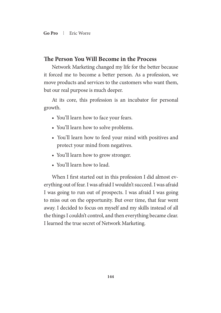### **The Person You Will Become in the Process**

Network Marketing changed my life for the better because it forced me to become a better person. As a profession, we move products and services to the customers who want them, but our real purpose is much deeper.

At its core, this profession is an incubator for personal growth.

- You'll learn how to face your fears.
- You'll learn how to solve problems.
- You'll learn how to feed your mind with positives and protect your mind from negatives.
- You'll learn how to grow stronger.
- You'll learn how to lead.

When I first started out in this profession I did almost everything out of fear. I was afraid I wouldn't succeed. I was afraid I was going to run out of prospects. I was afraid I was going to miss out on the opportunity. But over time, that fear went away. I decided to focus on myself and my skills instead of all the things I couldn't control, and then everything became clear. I learned the true secret of Network Marketing.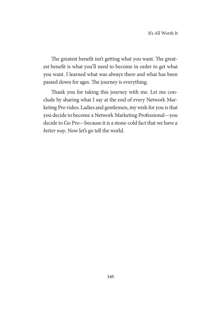The greatest benefit isn't getting what you want. The greatest benefit is what you'll need to become in order to get what you want. I learned what was always there and what has been passed down for ages. The journey is everything.

Thank you for taking this journey with me. Let me conclude by sharing what I say at the end of every Network Marketing Pro video. Ladies and gentlemen, my wish for you is that you decide to become a Network Marketing Professional—you decide to Go Pro—because it is a stone-cold fact that we have a better way. Now let's go tell the world.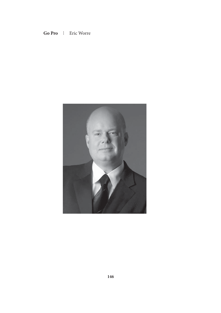

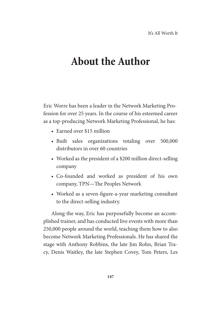## **About the Author**

Eric Worre has been a leader in the Network Marketing Profession for over 25 years. In the course of his esteemed career as a top-producing Network Marketing Professional, he has:

- Earned over \$15 million
- Built sales organizations totaling over 500,000 distributors in over 60 countries
- Worked as the president of a \$200 million direct-selling company
- Co-founded and worked as president of his own company, TPN—The Peoples Network
- Worked as a seven-figure-a-year marketing consultant to the direct-selling industry.

Along the way, Eric has purposefully become an accomplished trainer, and has conducted live events with more than 250,000 people around the world, teaching them how to also become Network Marketing Professionals. He has shared the stage with Anthony Robbins, the late Jim Rohn, Brian Tracy, Denis Waitley, the late Stephen Covey, Tom Peters, Les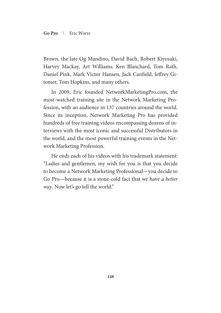Brown, the late Og Mandino, David Bach, Robert Kiyosaki, Harvey Mackay, Art Williams, Ken Blanchard, Tom Rath, Daniel Pink, Mark Victor Hansen, Jack Canfield, Jeffrey Gitomer, Tom Hopkins, and many others.

In 2009, Eric founded NetworkMarketingPro.com, the most-watched training site in the Network Marketing Profession, with an audience in 137 countries around the world. Since its inception, Network Marketing Pro has provided hundreds of free training videos encompassing dozens of interviews with the most iconic and successful Distributors in the world, and the most powerful training events in the Network Marketing Profession.

He ends each of his videos with his trademark statement: "Ladies and gentlemen, my wish for you is that you decide to become a Network Marketing Professional—you decide to Go Pro—because it is a stone-cold fact that we have a better way. Now let's go tell the world."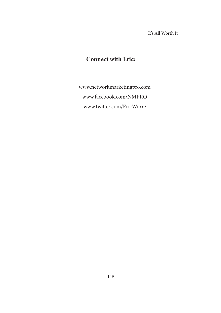It's All Worth It

### **Connect with Eric:**

www.networkmarketingpro.com www.facebook.com/NMPRO www.twitter.com/EricWorre